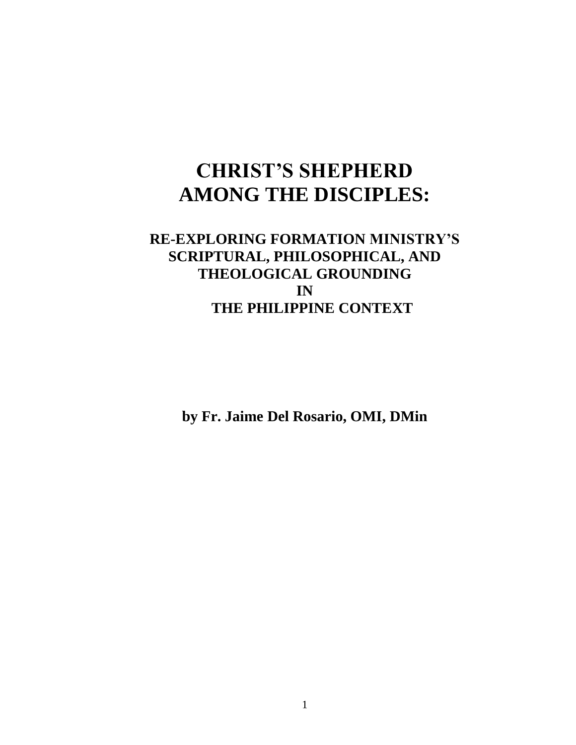# **CHRIST'S SHEPHERD AMONG THE DISCIPLES:**

# **RE-EXPLORING FORMATION MINISTRY'S SCRIPTURAL, PHILOSOPHICAL, AND THEOLOGICAL GROUNDING IN THE PHILIPPINE CONTEXT**

**by Fr. Jaime Del Rosario, OMI, DMin**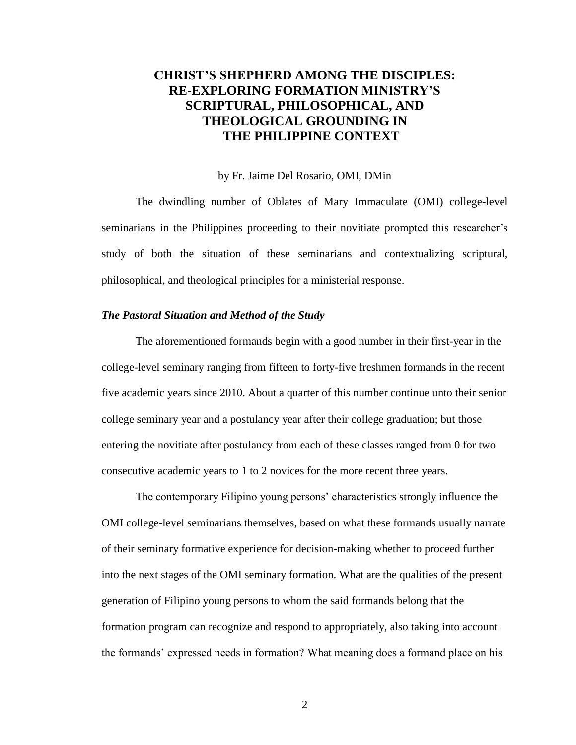# **CHRIST'S SHEPHERD AMONG THE DISCIPLES: RE-EXPLORING FORMATION MINISTRY'S SCRIPTURAL, PHILOSOPHICAL, AND THEOLOGICAL GROUNDING IN THE PHILIPPINE CONTEXT**

#### by Fr. Jaime Del Rosario, OMI, DMin

The dwindling number of Oblates of Mary Immaculate (OMI) college-level seminarians in the Philippines proceeding to their novitiate prompted this researcher's study of both the situation of these seminarians and contextualizing scriptural, philosophical, and theological principles for a ministerial response.

#### *The Pastoral Situation and Method of the Study*

The aforementioned formands begin with a good number in their first-year in the college-level seminary ranging from fifteen to forty-five freshmen formands in the recent five academic years since 2010. About a quarter of this number continue unto their senior college seminary year and a postulancy year after their college graduation; but those entering the novitiate after postulancy from each of these classes ranged from 0 for two consecutive academic years to 1 to 2 novices for the more recent three years.

The contemporary Filipino young persons' characteristics strongly influence the OMI college-level seminarians themselves, based on what these formands usually narrate of their seminary formative experience for decision-making whether to proceed further into the next stages of the OMI seminary formation. What are the qualities of the present generation of Filipino young persons to whom the said formands belong that the formation program can recognize and respond to appropriately, also taking into account the formands' expressed needs in formation? What meaning does a formand place on his

2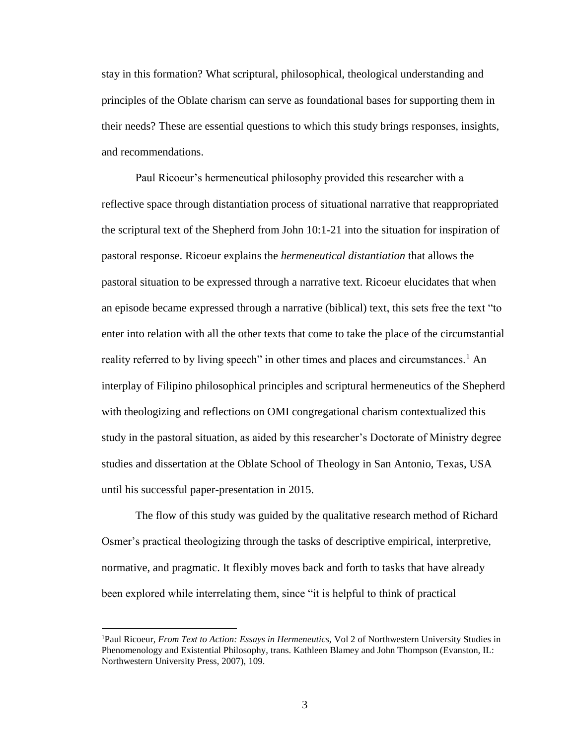stay in this formation? What scriptural, philosophical, theological understanding and principles of the Oblate charism can serve as foundational bases for supporting them in their needs? These are essential questions to which this study brings responses, insights, and recommendations.

Paul Ricoeur's hermeneutical philosophy provided this researcher with a reflective space through distantiation process of situational narrative that reappropriated the scriptural text of the Shepherd from John 10:1-21 into the situation for inspiration of pastoral response. Ricoeur explains the *hermeneutical distantiation* that allows the pastoral situation to be expressed through a narrative text. Ricoeur elucidates that when an episode became expressed through a narrative (biblical) text, this sets free the text "to enter into relation with all the other texts that come to take the place of the circumstantial reality referred to by living speech" in other times and places and circumstances.<sup>1</sup> An interplay of Filipino philosophical principles and scriptural hermeneutics of the Shepherd with theologizing and reflections on OMI congregational charism contextualized this study in the pastoral situation, as aided by this researcher's Doctorate of Ministry degree studies and dissertation at the Oblate School of Theology in San Antonio, Texas, USA until his successful paper-presentation in 2015.

The flow of this study was guided by the qualitative research method of Richard Osmer's practical theologizing through the tasks of descriptive empirical, interpretive, normative, and pragmatic. It flexibly moves back and forth to tasks that have already been explored while interrelating them, since "it is helpful to think of practical

<sup>1</sup>Paul Ricoeur, *From Text to Action: Essays in Hermeneutics,* Vol 2 of Northwestern University Studies in Phenomenology and Existential Philosophy, trans. Kathleen Blamey and John Thompson (Evanston, IL: Northwestern University Press, 2007), 109.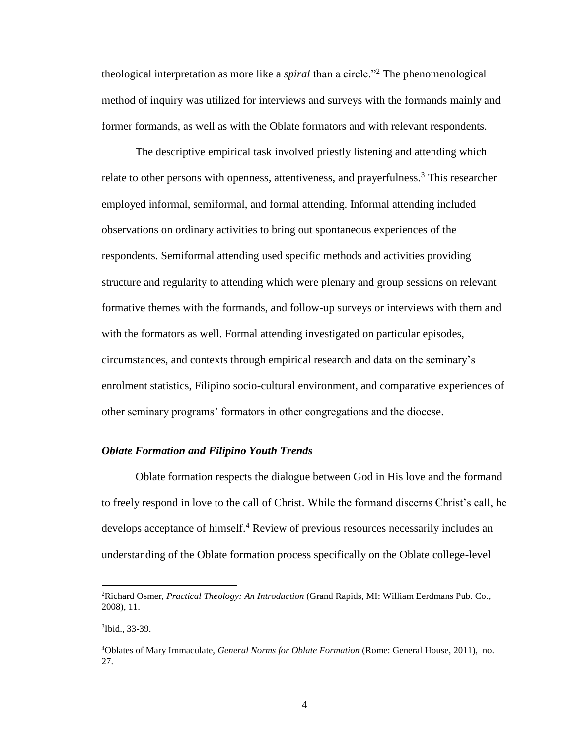theological interpretation as more like a *spiral* than a circle."<sup>2</sup> The phenomenological method of inquiry was utilized for interviews and surveys with the formands mainly and former formands, as well as with the Oblate formators and with relevant respondents.

The descriptive empirical task involved priestly listening and attending which relate to other persons with openness, attentiveness, and prayerfulness.<sup>3</sup> This researcher employed informal, semiformal, and formal attending. Informal attending included observations on ordinary activities to bring out spontaneous experiences of the respondents. Semiformal attending used specific methods and activities providing structure and regularity to attending which were plenary and group sessions on relevant formative themes with the formands, and follow-up surveys or interviews with them and with the formators as well. Formal attending investigated on particular episodes, circumstances, and contexts through empirical research and data on the seminary's enrolment statistics, Filipino socio-cultural environment, and comparative experiences of other seminary programs' formators in other congregations and the diocese.

#### *Oblate Formation and Filipino Youth Trends*

Oblate formation respects the dialogue between God in His love and the formand to freely respond in love to the call of Christ. While the formand discerns Christ's call, he develops acceptance of himself.<sup>4</sup> Review of previous resources necessarily includes an understanding of the Oblate formation process specifically on the Oblate college-level

<sup>2</sup>Richard Osmer, *Practical Theology: An Introduction* (Grand Rapids, MI: William Eerdmans Pub. Co., 2008), 11.

<sup>3</sup> Ibid., 33-39.

<sup>4</sup>Oblates of Mary Immaculate, *General Norms for Oblate Formation* (Rome: General House, 2011), no. 27.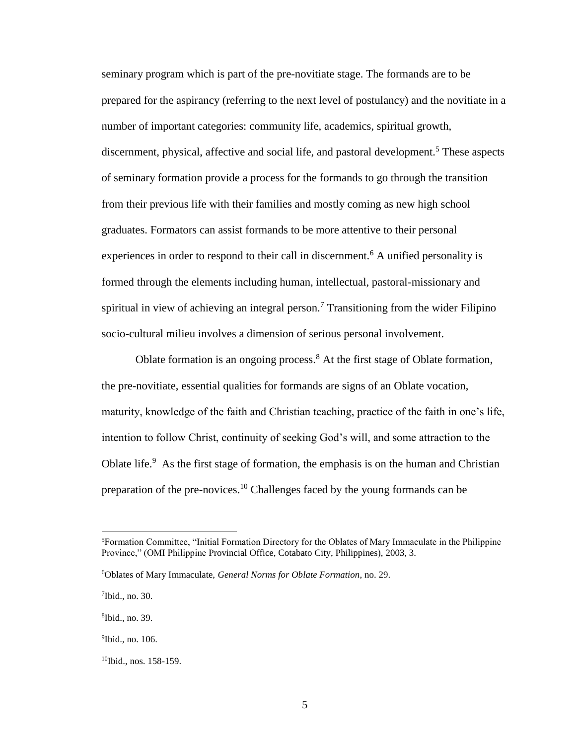seminary program which is part of the pre-novitiate stage. The formands are to be prepared for the aspirancy (referring to the next level of postulancy) and the novitiate in a number of important categories: community life, academics, spiritual growth, discernment, physical, affective and social life, and pastoral development.<sup>5</sup> These aspects of seminary formation provide a process for the formands to go through the transition from their previous life with their families and mostly coming as new high school graduates. Formators can assist formands to be more attentive to their personal experiences in order to respond to their call in discernment.<sup>6</sup> A unified personality is formed through the elements including human, intellectual, pastoral-missionary and spiritual in view of achieving an integral person.<sup>7</sup> Transitioning from the wider Filipino socio-cultural milieu involves a dimension of serious personal involvement.

Oblate formation is an ongoing process.<sup>8</sup> At the first stage of Oblate formation, the pre-novitiate, essential qualities for formands are signs of an Oblate vocation, maturity, knowledge of the faith and Christian teaching, practice of the faith in one's life, intention to follow Christ, continuity of seeking God's will, and some attraction to the Oblate life.<sup>9</sup> As the first stage of formation, the emphasis is on the human and Christian preparation of the pre-novices.<sup>10</sup> Challenges faced by the young formands can be

<sup>5</sup>Formation Committee, "Initial Formation Directory for the Oblates of Mary Immaculate in the Philippine Province," (OMI Philippine Provincial Office, Cotabato City, Philippines), 2003, 3.

<sup>6</sup>Oblates of Mary Immaculate, *General Norms for Oblate Formation*, no. 29.

<sup>7</sup> Ibid., no. 30.

<sup>8</sup> Ibid., no. 39.

<sup>&</sup>lt;sup>9</sup>Ibid., no. 106.

<sup>10</sup>Ibid., nos. 158-159.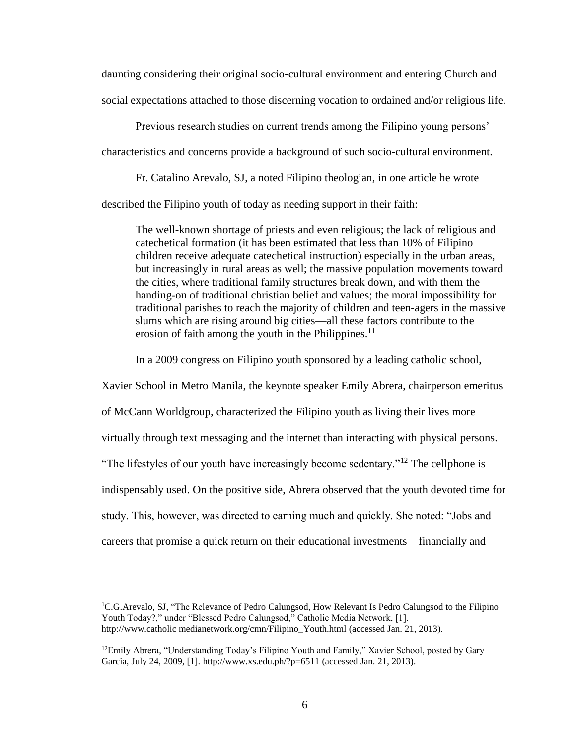daunting considering their original socio-cultural environment and entering Church and social expectations attached to those discerning vocation to ordained and/or religious life.

Previous research studies on current trends among the Filipino young persons' characteristics and concerns provide a background of such socio-cultural environment.

Fr. Catalino Arevalo, SJ, a noted Filipino theologian, in one article he wrote

described the Filipino youth of today as needing support in their faith:

The well-known shortage of priests and even religious; the lack of religious and catechetical formation (it has been estimated that less than 10% of Filipino children receive adequate catechetical instruction) especially in the urban areas, but increasingly in rural areas as well; the massive population movements toward the cities, where traditional family structures break down, and with them the handing-on of traditional christian belief and values; the moral impossibility for traditional parishes to reach the majority of children and teen-agers in the massive slums which are rising around big cities—all these factors contribute to the erosion of faith among the youth in the Philippines.<sup>11</sup>

In a 2009 congress on Filipino youth sponsored by a leading catholic school,

Xavier School in Metro Manila, the keynote speaker Emily Abrera, chairperson emeritus of McCann Worldgroup, characterized the Filipino youth as living their lives more virtually through text messaging and the internet than interacting with physical persons. "The lifestyles of our youth have increasingly become sedentary."<sup>12</sup> The cellphone is indispensably used. On the positive side, Abrera observed that the youth devoted time for study. This, however, was directed to earning much and quickly. She noted: "Jobs and careers that promise a quick return on their educational investments—financially and

<sup>&</sup>lt;sup>1</sup>C.G.Arevalo, SJ, "The Relevance of Pedro Calungsod, How Relevant Is Pedro Calungsod to the Filipino Youth Today?," under "Blessed Pedro Calungsod," Catholic Media Network, [1]. http://www.catholic medianetwork.org/cmn/Filipino\_Youth.html (accessed Jan. 21, 2013).

 $12$ Emily Abrera, "Understanding Today's Filipino Youth and Family," Xavier School, posted by Gary Garcia, July 24, 2009, [1]. http://www.xs.edu.ph/?p=6511 (accessed Jan. 21, 2013).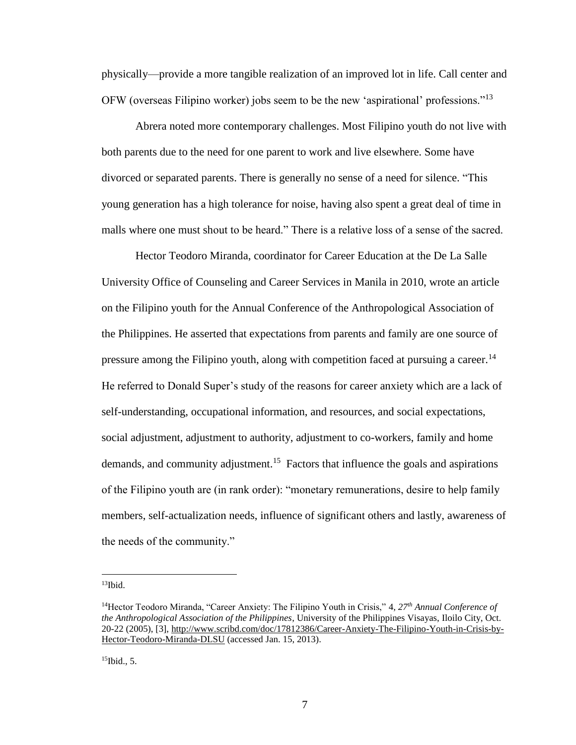physically—provide a more tangible realization of an improved lot in life. Call center and OFW (overseas Filipino worker) jobs seem to be the new 'aspirational' professions."<sup>13</sup>

Abrera noted more contemporary challenges. Most Filipino youth do not live with both parents due to the need for one parent to work and live elsewhere. Some have divorced or separated parents. There is generally no sense of a need for silence. "This young generation has a high tolerance for noise, having also spent a great deal of time in malls where one must shout to be heard." There is a relative loss of a sense of the sacred.

Hector Teodoro Miranda, coordinator for Career Education at the De La Salle University Office of Counseling and Career Services in Manila in 2010, wrote an article on the Filipino youth for the Annual Conference of the Anthropological Association of the Philippines. He asserted that expectations from parents and family are one source of pressure among the Filipino youth, along with competition faced at pursuing a career.<sup>14</sup> He referred to Donald Super's study of the reasons for career anxiety which are a lack of self-understanding, occupational information, and resources, and social expectations, social adjustment, adjustment to authority, adjustment to co-workers, family and home demands, and community adjustment.<sup>15</sup> Factors that influence the goals and aspirations of the Filipino youth are (in rank order): "monetary remunerations, desire to help family members, self-actualization needs, influence of significant others and lastly, awareness of the needs of the community."

 $13$ Ibid.

<sup>14</sup>Hector Teodoro Miranda, "Career Anxiety: The Filipino Youth in Crisis," 4, *27th Annual Conference of the Anthropological Association of the Philippines*, University of the Philippines Visayas, Iloilo City, Oct. 20-22 (2005), [3], http://www.scribd.com/doc/17812386/Career-Anxiety-The-Filipino-Youth-in-Crisis-by-Hector-Teodoro-Miranda-DLSU (accessed Jan. 15, 2013).

 $15$ Ibid., 5.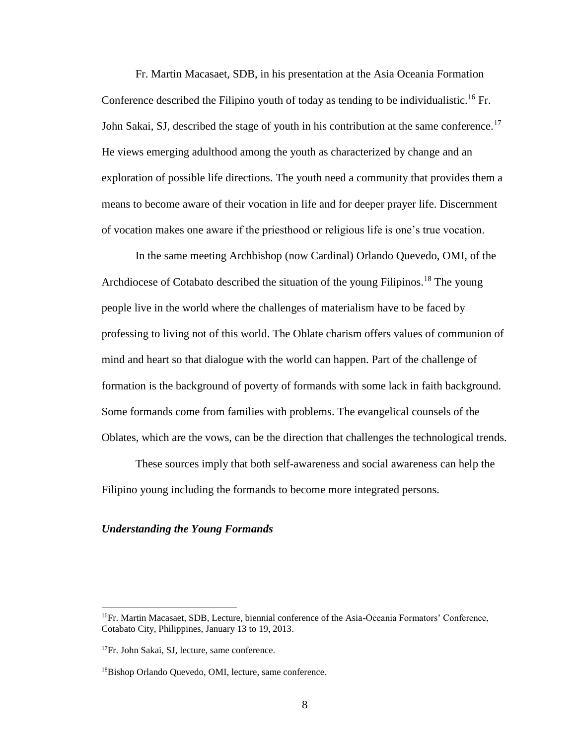Fr. Martin Macasaet, SDB, in his presentation at the Asia Oceania Formation Conference described the Filipino youth of today as tending to be individualistic.<sup>16</sup> Fr. John Sakai, SJ, described the stage of youth in his contribution at the same conference.<sup>17</sup> He views emerging adulthood among the youth as characterized by change and an exploration of possible life directions. The youth need a community that provides them a means to become aware of their vocation in life and for deeper prayer life. Discernment of vocation makes one aware if the priesthood or religious life is one's true vocation.

In the same meeting Archbishop (now Cardinal) Orlando Quevedo, OMI, of the Archdiocese of Cotabato described the situation of the young Filipinos.<sup>18</sup> The young people live in the world where the challenges of materialism have to be faced by professing to living not of this world. The Oblate charism offers values of communion of mind and heart so that dialogue with the world can happen. Part of the challenge of formation is the background of poverty of formands with some lack in faith background. Some formands come from families with problems. The evangelical counsels of the Oblates, which are the vows, can be the direction that challenges the technological trends.

These sources imply that both self-awareness and social awareness can help the Filipino young including the formands to become more integrated persons.

#### *Understanding the Young Formands*

<sup>&</sup>lt;sup>16</sup>Fr. Martin Macasaet, SDB, Lecture, biennial conference of the Asia-Oceania Formators' Conference, Cotabato City, Philippines, January 13 to 19, 2013.

<sup>&</sup>lt;sup>17</sup>Fr. John Sakai, SJ, lecture, same conference.

<sup>18</sup>Bishop Orlando Quevedo, OMI, lecture, same conference.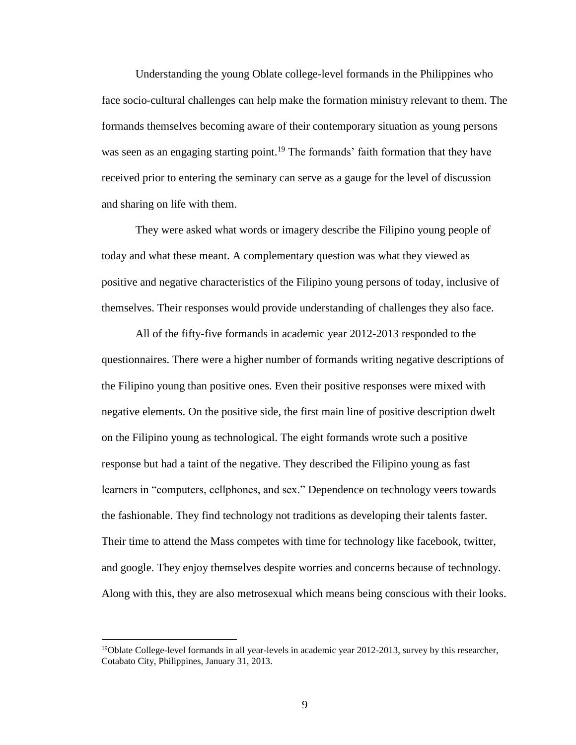Understanding the young Oblate college-level formands in the Philippines who face socio-cultural challenges can help make the formation ministry relevant to them. The formands themselves becoming aware of their contemporary situation as young persons was seen as an engaging starting point.<sup>19</sup> The formands' faith formation that they have received prior to entering the seminary can serve as a gauge for the level of discussion and sharing on life with them.

They were asked what words or imagery describe the Filipino young people of today and what these meant. A complementary question was what they viewed as positive and negative characteristics of the Filipino young persons of today, inclusive of themselves. Their responses would provide understanding of challenges they also face.

All of the fifty-five formands in academic year 2012-2013 responded to the questionnaires. There were a higher number of formands writing negative descriptions of the Filipino young than positive ones. Even their positive responses were mixed with negative elements. On the positive side, the first main line of positive description dwelt on the Filipino young as technological. The eight formands wrote such a positive response but had a taint of the negative. They described the Filipino young as fast learners in "computers, cellphones, and sex." Dependence on technology veers towards the fashionable. They find technology not traditions as developing their talents faster. Their time to attend the Mass competes with time for technology like facebook, twitter, and google. They enjoy themselves despite worries and concerns because of technology. Along with this, they are also metrosexual which means being conscious with their looks.

<sup>&</sup>lt;sup>19</sup>Oblate College-level formands in all year-levels in academic year 2012-2013, survey by this researcher, Cotabato City, Philippines, January 31, 2013.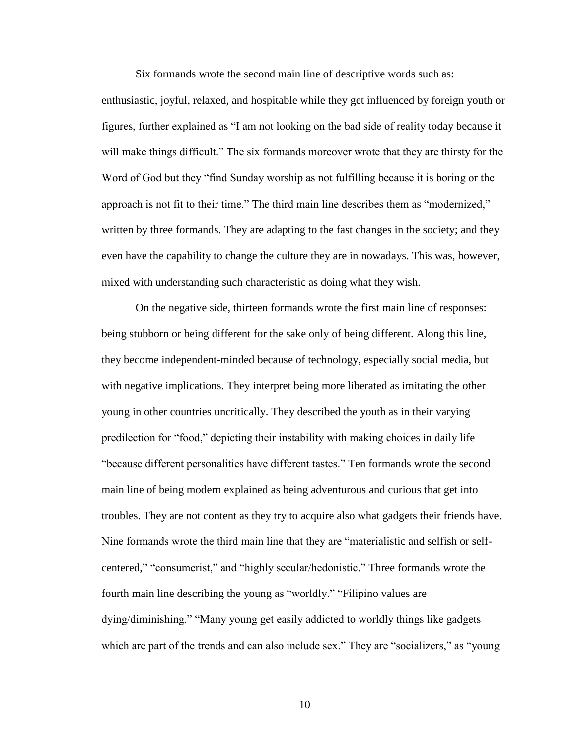Six formands wrote the second main line of descriptive words such as:

enthusiastic, joyful, relaxed, and hospitable while they get influenced by foreign youth or figures, further explained as "I am not looking on the bad side of reality today because it will make things difficult." The six formands moreover wrote that they are thirsty for the Word of God but they "find Sunday worship as not fulfilling because it is boring or the approach is not fit to their time." The third main line describes them as "modernized," written by three formands. They are adapting to the fast changes in the society; and they even have the capability to change the culture they are in nowadays. This was, however, mixed with understanding such characteristic as doing what they wish.

On the negative side, thirteen formands wrote the first main line of responses: being stubborn or being different for the sake only of being different. Along this line, they become independent-minded because of technology, especially social media, but with negative implications. They interpret being more liberated as imitating the other young in other countries uncritically. They described the youth as in their varying predilection for "food," depicting their instability with making choices in daily life "because different personalities have different tastes." Ten formands wrote the second main line of being modern explained as being adventurous and curious that get into troubles. They are not content as they try to acquire also what gadgets their friends have. Nine formands wrote the third main line that they are "materialistic and selfish or selfcentered," "consumerist," and "highly secular/hedonistic." Three formands wrote the fourth main line describing the young as "worldly." "Filipino values are dying/diminishing." "Many young get easily addicted to worldly things like gadgets which are part of the trends and can also include sex." They are "socializers," as "young

10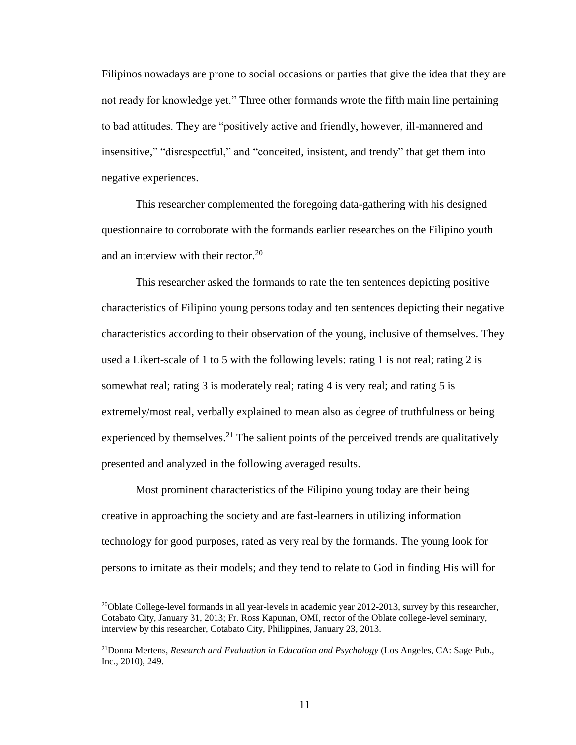Filipinos nowadays are prone to social occasions or parties that give the idea that they are not ready for knowledge yet." Three other formands wrote the fifth main line pertaining to bad attitudes. They are "positively active and friendly, however, ill-mannered and insensitive," "disrespectful," and "conceited, insistent, and trendy" that get them into negative experiences.

This researcher complemented the foregoing data-gathering with his designed questionnaire to corroborate with the formands earlier researches on the Filipino youth and an interview with their rector. $20<sup>20</sup>$ 

This researcher asked the formands to rate the ten sentences depicting positive characteristics of Filipino young persons today and ten sentences depicting their negative characteristics according to their observation of the young, inclusive of themselves. They used a Likert-scale of 1 to 5 with the following levels: rating 1 is not real; rating 2 is somewhat real; rating 3 is moderately real; rating 4 is very real; and rating 5 is extremely/most real, verbally explained to mean also as degree of truthfulness or being experienced by themselves.<sup>21</sup> The salient points of the perceived trends are qualitatively presented and analyzed in the following averaged results.

Most prominent characteristics of the Filipino young today are their being creative in approaching the society and are fast-learners in utilizing information technology for good purposes, rated as very real by the formands. The young look for persons to imitate as their models; and they tend to relate to God in finding His will for

<sup>&</sup>lt;sup>20</sup>Oblate College-level formands in all year-levels in academic year 2012-2013, survey by this researcher, Cotabato City, January 31, 2013; Fr. Ross Kapunan, OMI, rector of the Oblate college-level seminary, interview by this researcher, Cotabato City, Philippines, January 23, 2013.

<sup>21</sup>Donna Mertens, *Research and Evaluation in Education and Psychology* (Los Angeles, CA: Sage Pub., Inc., 2010), 249.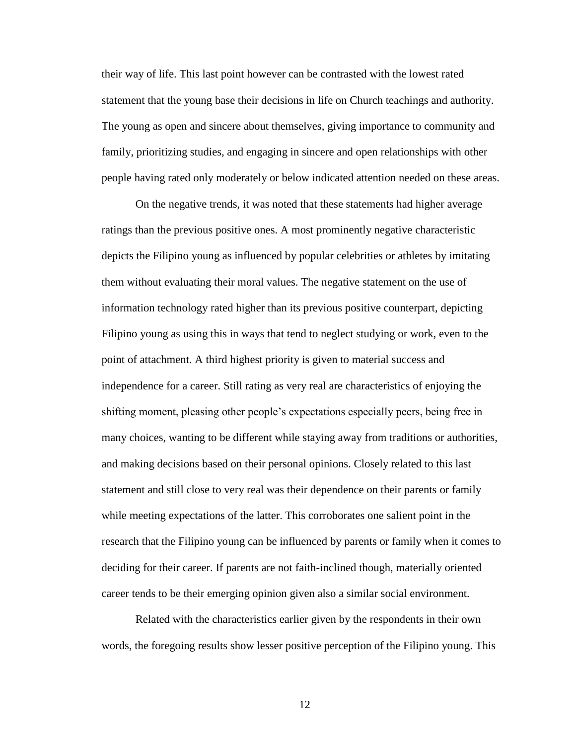their way of life. This last point however can be contrasted with the lowest rated statement that the young base their decisions in life on Church teachings and authority. The young as open and sincere about themselves, giving importance to community and family, prioritizing studies, and engaging in sincere and open relationships with other people having rated only moderately or below indicated attention needed on these areas.

On the negative trends, it was noted that these statements had higher average ratings than the previous positive ones. A most prominently negative characteristic depicts the Filipino young as influenced by popular celebrities or athletes by imitating them without evaluating their moral values. The negative statement on the use of information technology rated higher than its previous positive counterpart, depicting Filipino young as using this in ways that tend to neglect studying or work, even to the point of attachment. A third highest priority is given to material success and independence for a career. Still rating as very real are characteristics of enjoying the shifting moment, pleasing other people's expectations especially peers, being free in many choices, wanting to be different while staying away from traditions or authorities, and making decisions based on their personal opinions. Closely related to this last statement and still close to very real was their dependence on their parents or family while meeting expectations of the latter. This corroborates one salient point in the research that the Filipino young can be influenced by parents or family when it comes to deciding for their career. If parents are not faith-inclined though, materially oriented career tends to be their emerging opinion given also a similar social environment.

Related with the characteristics earlier given by the respondents in their own words, the foregoing results show lesser positive perception of the Filipino young. This

12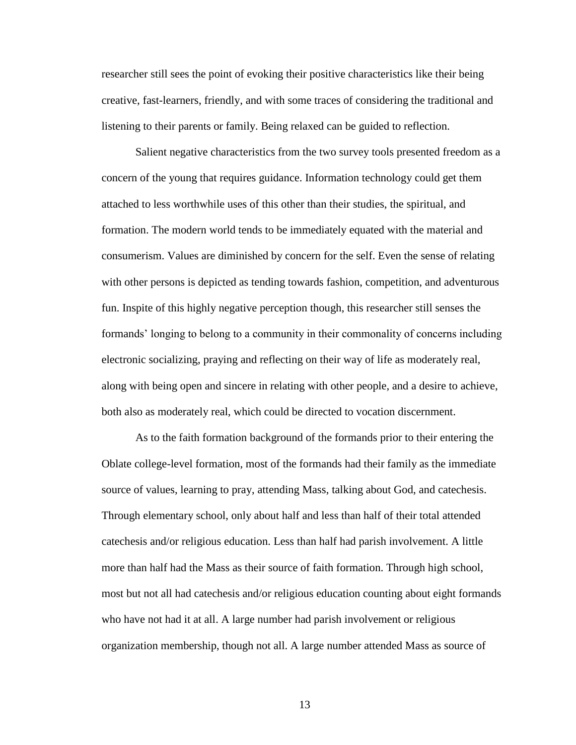researcher still sees the point of evoking their positive characteristics like their being creative, fast-learners, friendly, and with some traces of considering the traditional and listening to their parents or family. Being relaxed can be guided to reflection.

Salient negative characteristics from the two survey tools presented freedom as a concern of the young that requires guidance. Information technology could get them attached to less worthwhile uses of this other than their studies, the spiritual, and formation. The modern world tends to be immediately equated with the material and consumerism. Values are diminished by concern for the self. Even the sense of relating with other persons is depicted as tending towards fashion, competition, and adventurous fun. Inspite of this highly negative perception though, this researcher still senses the formands' longing to belong to a community in their commonality of concerns including electronic socializing, praying and reflecting on their way of life as moderately real, along with being open and sincere in relating with other people, and a desire to achieve, both also as moderately real, which could be directed to vocation discernment.

As to the faith formation background of the formands prior to their entering the Oblate college-level formation, most of the formands had their family as the immediate source of values, learning to pray, attending Mass, talking about God, and catechesis. Through elementary school, only about half and less than half of their total attended catechesis and/or religious education. Less than half had parish involvement. A little more than half had the Mass as their source of faith formation. Through high school, most but not all had catechesis and/or religious education counting about eight formands who have not had it at all. A large number had parish involvement or religious organization membership, though not all. A large number attended Mass as source of

13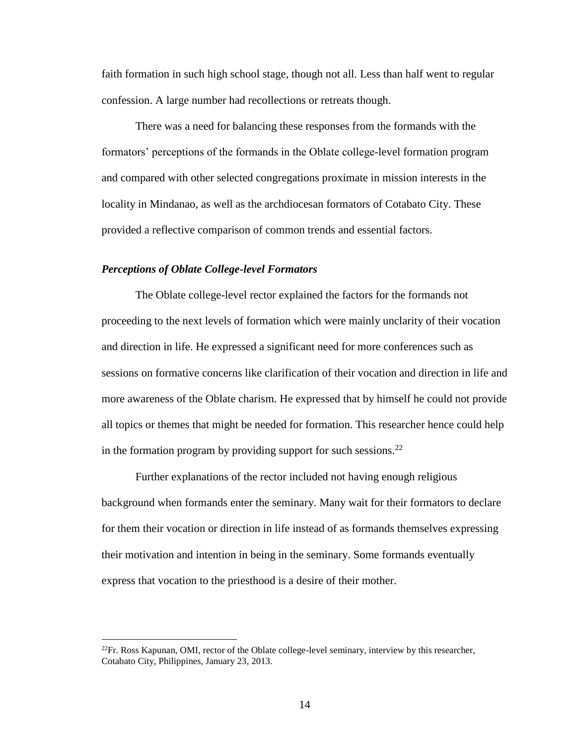faith formation in such high school stage, though not all. Less than half went to regular confession. A large number had recollections or retreats though.

There was a need for balancing these responses from the formands with the formators' perceptions of the formands in the Oblate college-level formation program and compared with other selected congregations proximate in mission interests in the locality in Mindanao, as well as the archdiocesan formators of Cotabato City. These provided a reflective comparison of common trends and essential factors.

# *Perceptions of Oblate College-level Formators*

 $\overline{a}$ 

The Oblate college-level rector explained the factors for the formands not proceeding to the next levels of formation which were mainly unclarity of their vocation and direction in life. He expressed a significant need for more conferences such as sessions on formative concerns like clarification of their vocation and direction in life and more awareness of the Oblate charism. He expressed that by himself he could not provide all topics or themes that might be needed for formation. This researcher hence could help in the formation program by providing support for such sessions.<sup>22</sup>

Further explanations of the rector included not having enough religious background when formands enter the seminary. Many wait for their formators to declare for them their vocation or direction in life instead of as formands themselves expressing their motivation and intention in being in the seminary. Some formands eventually express that vocation to the priesthood is a desire of their mother.

 $^{22}$ Fr. Ross Kapunan, OMI, rector of the Oblate college-level seminary, interview by this researcher, Cotabato City, Philippines, January 23, 2013.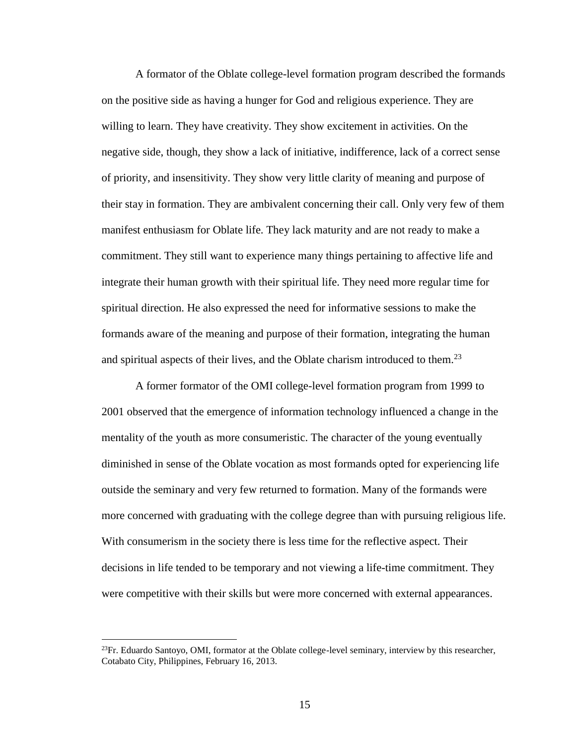A formator of the Oblate college-level formation program described the formands on the positive side as having a hunger for God and religious experience. They are willing to learn. They have creativity. They show excitement in activities. On the negative side, though, they show a lack of initiative, indifference, lack of a correct sense of priority, and insensitivity. They show very little clarity of meaning and purpose of their stay in formation. They are ambivalent concerning their call. Only very few of them manifest enthusiasm for Oblate life. They lack maturity and are not ready to make a commitment. They still want to experience many things pertaining to affective life and integrate their human growth with their spiritual life. They need more regular time for spiritual direction. He also expressed the need for informative sessions to make the formands aware of the meaning and purpose of their formation, integrating the human and spiritual aspects of their lives, and the Oblate charism introduced to them.<sup>23</sup>

A former formator of the OMI college-level formation program from 1999 to 2001 observed that the emergence of information technology influenced a change in the mentality of the youth as more consumeristic. The character of the young eventually diminished in sense of the Oblate vocation as most formands opted for experiencing life outside the seminary and very few returned to formation. Many of the formands were more concerned with graduating with the college degree than with pursuing religious life. With consumerism in the society there is less time for the reflective aspect. Their decisions in life tended to be temporary and not viewing a life-time commitment. They were competitive with their skills but were more concerned with external appearances.

<sup>&</sup>lt;sup>23</sup>Fr. Eduardo Santoyo, OMI, formator at the Oblate college-level seminary, interview by this researcher, Cotabato City, Philippines, February 16, 2013.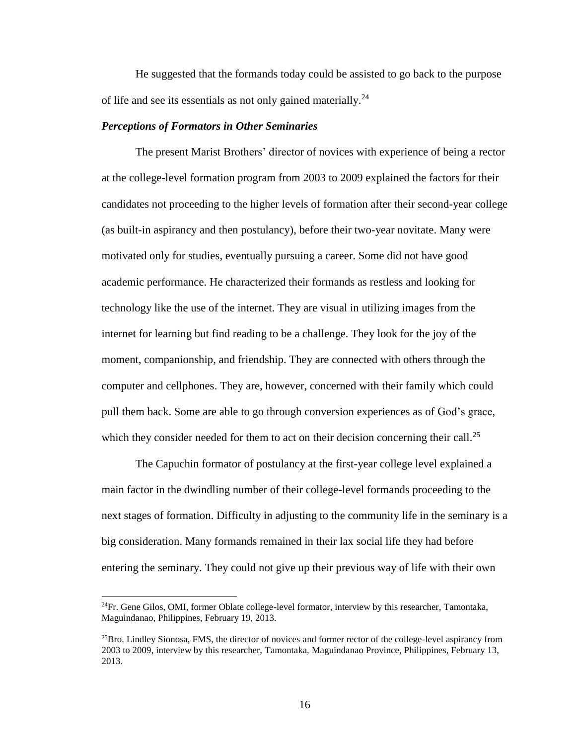He suggested that the formands today could be assisted to go back to the purpose of life and see its essentials as not only gained materially.<sup>24</sup>

#### *Perceptions of Formators in Other Seminaries*

The present Marist Brothers' director of novices with experience of being a rector at the college-level formation program from 2003 to 2009 explained the factors for their candidates not proceeding to the higher levels of formation after their second-year college (as built-in aspirancy and then postulancy), before their two-year novitate. Many were motivated only for studies, eventually pursuing a career. Some did not have good academic performance. He characterized their formands as restless and looking for technology like the use of the internet. They are visual in utilizing images from the internet for learning but find reading to be a challenge. They look for the joy of the moment, companionship, and friendship. They are connected with others through the computer and cellphones. They are, however, concerned with their family which could pull them back. Some are able to go through conversion experiences as of God's grace, which they consider needed for them to act on their decision concerning their call.<sup>25</sup>

The Capuchin formator of postulancy at the first-year college level explained a main factor in the dwindling number of their college-level formands proceeding to the next stages of formation. Difficulty in adjusting to the community life in the seminary is a big consideration. Many formands remained in their lax social life they had before entering the seminary. They could not give up their previous way of life with their own

 $^{24}$ Fr. Gene Gilos, OMI, former Oblate college-level formator, interview by this researcher, Tamontaka, Maguindanao, Philippines, February 19, 2013.

 $^{25}$ Bro. Lindley Sionosa, FMS, the director of novices and former rector of the college-level aspirancy from 2003 to 2009, interview by this researcher, Tamontaka, Maguindanao Province, Philippines, February 13, 2013.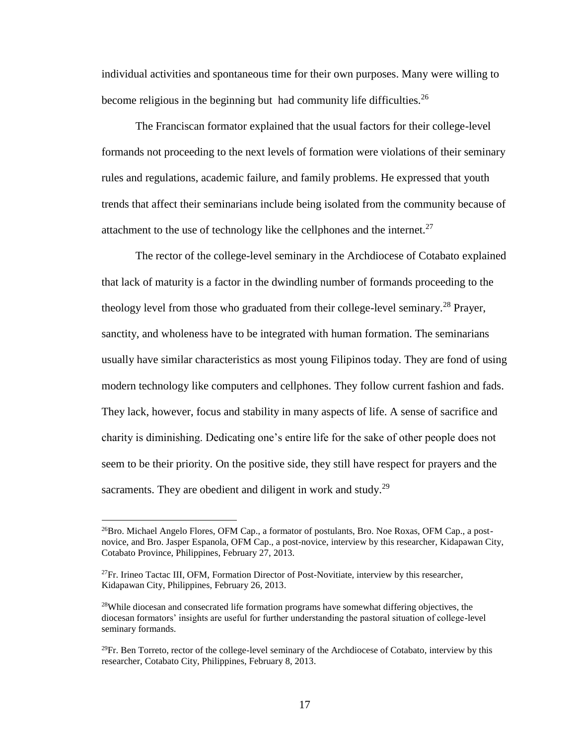individual activities and spontaneous time for their own purposes. Many were willing to become religious in the beginning but had community life difficulties.<sup>26</sup>

The Franciscan formator explained that the usual factors for their college-level formands not proceeding to the next levels of formation were violations of their seminary rules and regulations, academic failure, and family problems. He expressed that youth trends that affect their seminarians include being isolated from the community because of attachment to the use of technology like the cellphones and the internet.<sup>27</sup>

The rector of the college-level seminary in the Archdiocese of Cotabato explained that lack of maturity is a factor in the dwindling number of formands proceeding to the theology level from those who graduated from their college-level seminary.<sup>28</sup> Prayer, sanctity, and wholeness have to be integrated with human formation. The seminarians usually have similar characteristics as most young Filipinos today. They are fond of using modern technology like computers and cellphones. They follow current fashion and fads. They lack, however, focus and stability in many aspects of life. A sense of sacrifice and charity is diminishing. Dedicating one's entire life for the sake of other people does not seem to be their priority. On the positive side, they still have respect for prayers and the sacraments. They are obedient and diligent in work and study. $^{29}$ 

<sup>&</sup>lt;sup>26</sup>Bro. Michael Angelo Flores, OFM Cap., a formator of postulants, Bro. Noe Roxas, OFM Cap., a postnovice, and Bro. Jasper Espanola, OFM Cap., a post-novice, interview by this researcher, Kidapawan City, Cotabato Province, Philippines, February 27, 2013.

 $^{27}$ Fr. Irineo Tactac III, OFM, Formation Director of Post-Novitiate, interview by this researcher, Kidapawan City, Philippines, February 26, 2013.

 $^{28}$ While diocesan and consecrated life formation programs have somewhat differing objectives, the diocesan formators' insights are useful for further understanding the pastoral situation of college-level seminary formands.

 $^{29}$ Fr. Ben Torreto, rector of the college-level seminary of the Archdiocese of Cotabato, interview by this researcher, Cotabato City, Philippines, February 8, 2013.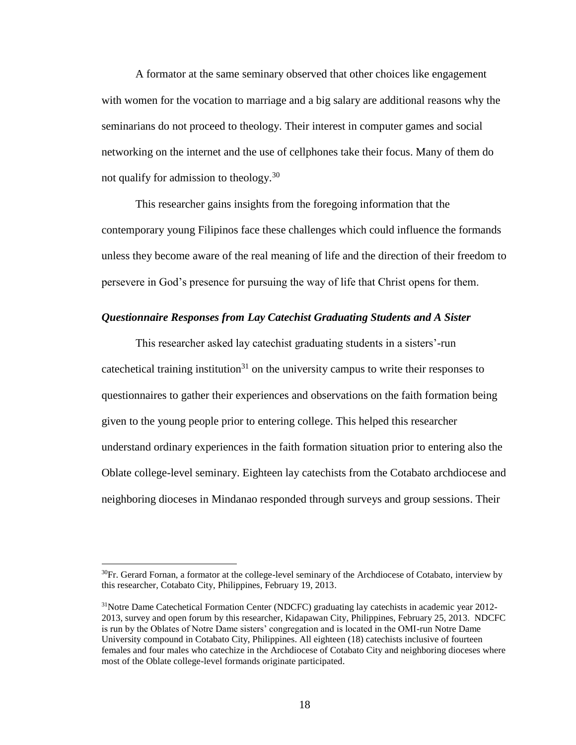A formator at the same seminary observed that other choices like engagement with women for the vocation to marriage and a big salary are additional reasons why the seminarians do not proceed to theology. Their interest in computer games and social networking on the internet and the use of cellphones take their focus. Many of them do not qualify for admission to theology.<sup>30</sup>

This researcher gains insights from the foregoing information that the contemporary young Filipinos face these challenges which could influence the formands unless they become aware of the real meaning of life and the direction of their freedom to persevere in God's presence for pursuing the way of life that Christ opens for them.

#### *Questionnaire Responses from Lay Catechist Graduating Students and A Sister*

This researcher asked lay catechist graduating students in a sisters'-run cate chetical training institution<sup>31</sup> on the university campus to write their responses to questionnaires to gather their experiences and observations on the faith formation being given to the young people prior to entering college. This helped this researcher understand ordinary experiences in the faith formation situation prior to entering also the Oblate college-level seminary. Eighteen lay catechists from the Cotabato archdiocese and neighboring dioceses in Mindanao responded through surveys and group sessions. Their

 $30$ Fr. Gerard Fornan, a formator at the college-level seminary of the Archdiocese of Cotabato, interview by this researcher, Cotabato City, Philippines, February 19, 2013.

<sup>&</sup>lt;sup>31</sup>Notre Dame Catechetical Formation Center (NDCFC) graduating lay catechists in academic year 2012-2013, survey and open forum by this researcher, Kidapawan City, Philippines, February 25, 2013. NDCFC is run by the Oblates of Notre Dame sisters' congregation and is located in the OMI-run Notre Dame University compound in Cotabato City, Philippines. All eighteen (18) catechists inclusive of fourteen females and four males who catechize in the Archdiocese of Cotabato City and neighboring dioceses where most of the Oblate college-level formands originate participated.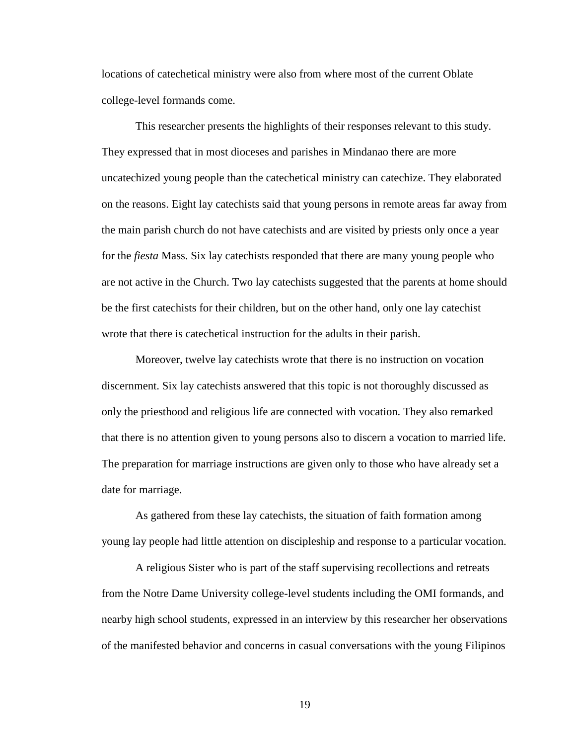locations of catechetical ministry were also from where most of the current Oblate college-level formands come.

This researcher presents the highlights of their responses relevant to this study. They expressed that in most dioceses and parishes in Mindanao there are more uncatechized young people than the catechetical ministry can catechize. They elaborated on the reasons. Eight lay catechists said that young persons in remote areas far away from the main parish church do not have catechists and are visited by priests only once a year for the *fiesta* Mass. Six lay catechists responded that there are many young people who are not active in the Church. Two lay catechists suggested that the parents at home should be the first catechists for their children, but on the other hand, only one lay catechist wrote that there is catechetical instruction for the adults in their parish.

Moreover, twelve lay catechists wrote that there is no instruction on vocation discernment. Six lay catechists answered that this topic is not thoroughly discussed as only the priesthood and religious life are connected with vocation. They also remarked that there is no attention given to young persons also to discern a vocation to married life. The preparation for marriage instructions are given only to those who have already set a date for marriage.

As gathered from these lay catechists, the situation of faith formation among young lay people had little attention on discipleship and response to a particular vocation.

A religious Sister who is part of the staff supervising recollections and retreats from the Notre Dame University college-level students including the OMI formands, and nearby high school students, expressed in an interview by this researcher her observations of the manifested behavior and concerns in casual conversations with the young Filipinos

19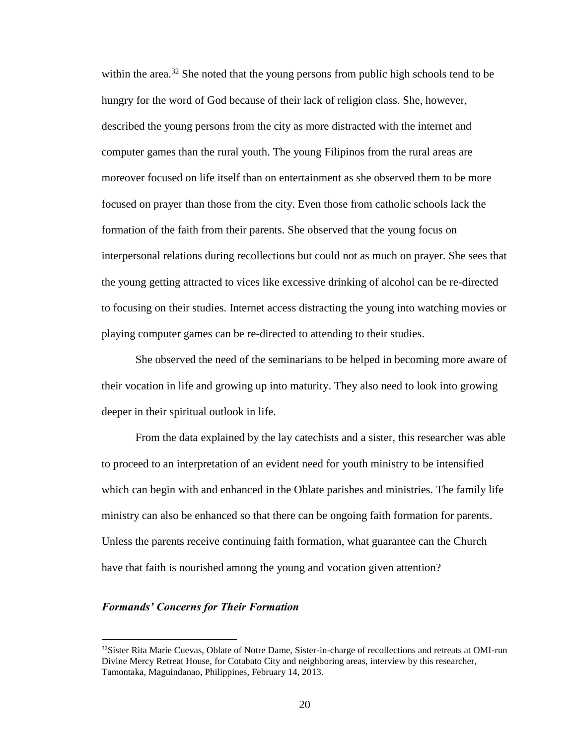within the area.<sup>32</sup> She noted that the young persons from public high schools tend to be hungry for the word of God because of their lack of religion class. She, however, described the young persons from the city as more distracted with the internet and computer games than the rural youth. The young Filipinos from the rural areas are moreover focused on life itself than on entertainment as she observed them to be more focused on prayer than those from the city. Even those from catholic schools lack the formation of the faith from their parents. She observed that the young focus on interpersonal relations during recollections but could not as much on prayer. She sees that the young getting attracted to vices like excessive drinking of alcohol can be re-directed to focusing on their studies. Internet access distracting the young into watching movies or playing computer games can be re-directed to attending to their studies.

She observed the need of the seminarians to be helped in becoming more aware of their vocation in life and growing up into maturity. They also need to look into growing deeper in their spiritual outlook in life.

From the data explained by the lay catechists and a sister, this researcher was able to proceed to an interpretation of an evident need for youth ministry to be intensified which can begin with and enhanced in the Oblate parishes and ministries. The family life ministry can also be enhanced so that there can be ongoing faith formation for parents. Unless the parents receive continuing faith formation, what guarantee can the Church have that faith is nourished among the young and vocation given attention?

#### *Formands' Concerns for Their Formation*

<sup>&</sup>lt;sup>32</sup>Sister Rita Marie Cuevas, Oblate of Notre Dame, Sister-in-charge of recollections and retreats at OMI-run Divine Mercy Retreat House, for Cotabato City and neighboring areas, interview by this researcher, Tamontaka, Maguindanao, Philippines, February 14, 2013.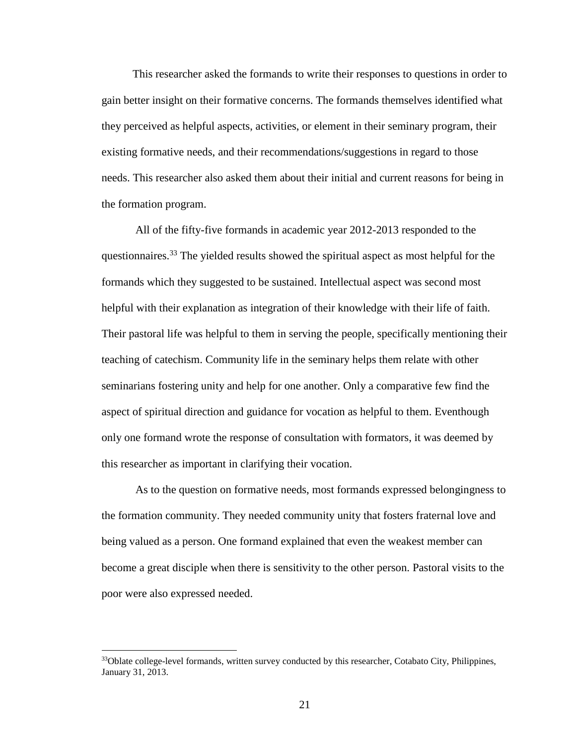This researcher asked the formands to write their responses to questions in order to gain better insight on their formative concerns. The formands themselves identified what they perceived as helpful aspects, activities, or element in their seminary program, their existing formative needs, and their recommendations/suggestions in regard to those needs. This researcher also asked them about their initial and current reasons for being in the formation program.

All of the fifty-five formands in academic year 2012-2013 responded to the questionnaires.<sup>33</sup> The yielded results showed the spiritual aspect as most helpful for the formands which they suggested to be sustained. Intellectual aspect was second most helpful with their explanation as integration of their knowledge with their life of faith. Their pastoral life was helpful to them in serving the people, specifically mentioning their teaching of catechism. Community life in the seminary helps them relate with other seminarians fostering unity and help for one another. Only a comparative few find the aspect of spiritual direction and guidance for vocation as helpful to them. Eventhough only one formand wrote the response of consultation with formators, it was deemed by this researcher as important in clarifying their vocation.

As to the question on formative needs, most formands expressed belongingness to the formation community. They needed community unity that fosters fraternal love and being valued as a person. One formand explained that even the weakest member can become a great disciple when there is sensitivity to the other person. Pastoral visits to the poor were also expressed needed.

<sup>&</sup>lt;sup>33</sup>Oblate college-level formands, written survey conducted by this researcher, Cotabato City, Philippines, January 31, 2013.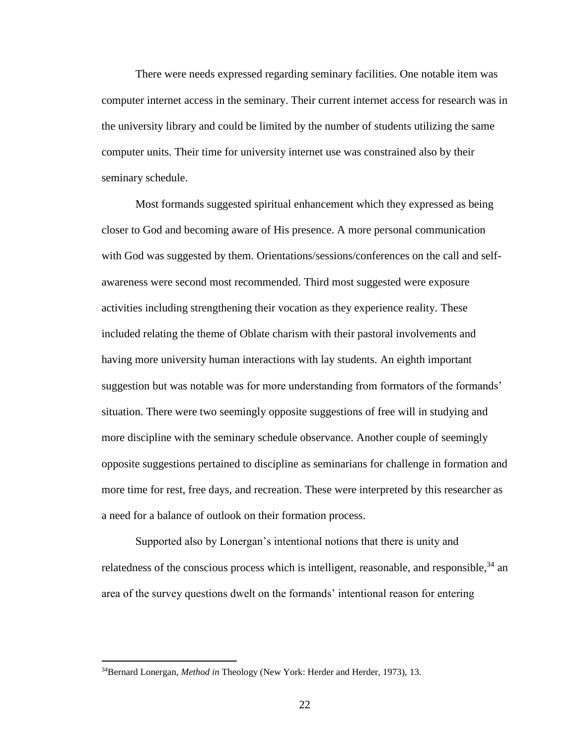There were needs expressed regarding seminary facilities. One notable item was computer internet access in the seminary. Their current internet access for research was in the university library and could be limited by the number of students utilizing the same computer units. Their time for university internet use was constrained also by their seminary schedule.

Most formands suggested spiritual enhancement which they expressed as being closer to God and becoming aware of His presence. A more personal communication with God was suggested by them. Orientations/sessions/conferences on the call and selfawareness were second most recommended. Third most suggested were exposure activities including strengthening their vocation as they experience reality. These included relating the theme of Oblate charism with their pastoral involvements and having more university human interactions with lay students. An eighth important suggestion but was notable was for more understanding from formators of the formands' situation. There were two seemingly opposite suggestions of free will in studying and more discipline with the seminary schedule observance. Another couple of seemingly opposite suggestions pertained to discipline as seminarians for challenge in formation and more time for rest, free days, and recreation. These were interpreted by this researcher as a need for a balance of outlook on their formation process.

Supported also by Lonergan's intentional notions that there is unity and relatedness of the conscious process which is intelligent, reasonable, and responsible,  $34$  an area of the survey questions dwelt on the formands' intentional reason for entering

<sup>34</sup>Bernard Lonergan, *Method in* Theology (New York: Herder and Herder, 1973), 13.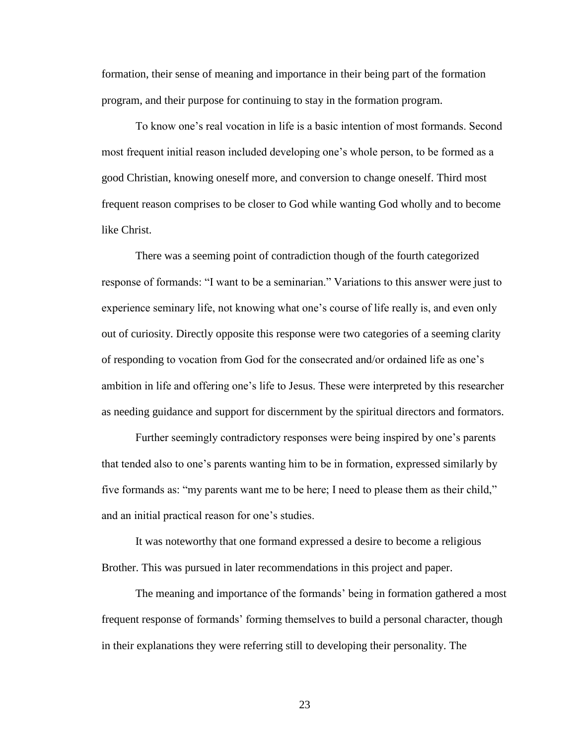formation, their sense of meaning and importance in their being part of the formation program, and their purpose for continuing to stay in the formation program.

To know one's real vocation in life is a basic intention of most formands. Second most frequent initial reason included developing one's whole person, to be formed as a good Christian, knowing oneself more, and conversion to change oneself. Third most frequent reason comprises to be closer to God while wanting God wholly and to become like Christ.

There was a seeming point of contradiction though of the fourth categorized response of formands: "I want to be a seminarian." Variations to this answer were just to experience seminary life, not knowing what one's course of life really is, and even only out of curiosity. Directly opposite this response were two categories of a seeming clarity of responding to vocation from God for the consecrated and/or ordained life as one's ambition in life and offering one's life to Jesus. These were interpreted by this researcher as needing guidance and support for discernment by the spiritual directors and formators.

Further seemingly contradictory responses were being inspired by one's parents that tended also to one's parents wanting him to be in formation, expressed similarly by five formands as: "my parents want me to be here; I need to please them as their child," and an initial practical reason for one's studies.

It was noteworthy that one formand expressed a desire to become a religious Brother. This was pursued in later recommendations in this project and paper.

The meaning and importance of the formands' being in formation gathered a most frequent response of formands' forming themselves to build a personal character, though in their explanations they were referring still to developing their personality. The

23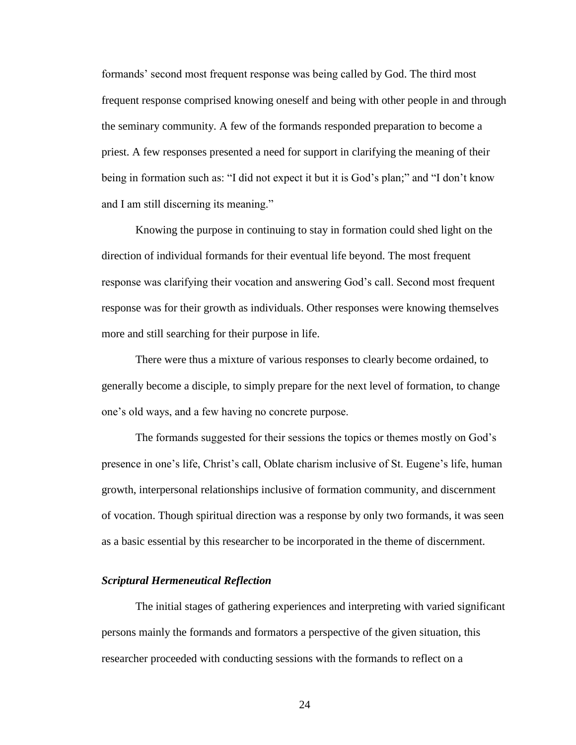formands' second most frequent response was being called by God. The third most frequent response comprised knowing oneself and being with other people in and through the seminary community. A few of the formands responded preparation to become a priest. A few responses presented a need for support in clarifying the meaning of their being in formation such as: "I did not expect it but it is God's plan;" and "I don't know and I am still discerning its meaning."

Knowing the purpose in continuing to stay in formation could shed light on the direction of individual formands for their eventual life beyond. The most frequent response was clarifying their vocation and answering God's call. Second most frequent response was for their growth as individuals. Other responses were knowing themselves more and still searching for their purpose in life.

There were thus a mixture of various responses to clearly become ordained, to generally become a disciple, to simply prepare for the next level of formation, to change one's old ways, and a few having no concrete purpose.

The formands suggested for their sessions the topics or themes mostly on God's presence in one's life, Christ's call, Oblate charism inclusive of St. Eugene's life, human growth, interpersonal relationships inclusive of formation community, and discernment of vocation. Though spiritual direction was a response by only two formands, it was seen as a basic essential by this researcher to be incorporated in the theme of discernment.

#### *Scriptural Hermeneutical Reflection*

The initial stages of gathering experiences and interpreting with varied significant persons mainly the formands and formators a perspective of the given situation, this researcher proceeded with conducting sessions with the formands to reflect on a

24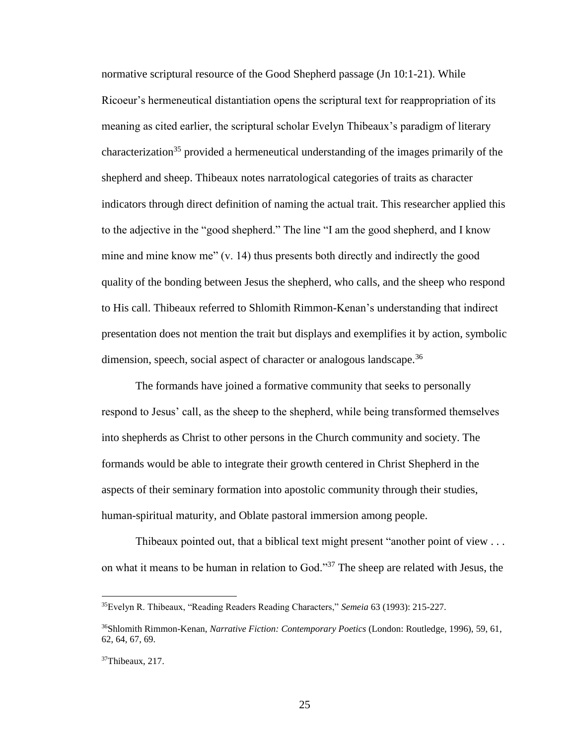normative scriptural resource of the Good Shepherd passage (Jn 10:1-21). While Ricoeur's hermeneutical distantiation opens the scriptural text for reappropriation of its meaning as cited earlier, the scriptural scholar Evelyn Thibeaux's paradigm of literary characterization<sup>35</sup> provided a hermeneutical understanding of the images primarily of the shepherd and sheep. Thibeaux notes narratological categories of traits as character indicators through direct definition of naming the actual trait. This researcher applied this to the adjective in the "good shepherd." The line "I am the good shepherd, and I know mine and mine know me" (v. 14) thus presents both directly and indirectly the good quality of the bonding between Jesus the shepherd, who calls, and the sheep who respond to His call. Thibeaux referred to Shlomith Rimmon-Kenan's understanding that indirect presentation does not mention the trait but displays and exemplifies it by action, symbolic dimension, speech, social aspect of character or analogous landscape.<sup>36</sup>

The formands have joined a formative community that seeks to personally respond to Jesus' call, as the sheep to the shepherd, while being transformed themselves into shepherds as Christ to other persons in the Church community and society. The formands would be able to integrate their growth centered in Christ Shepherd in the aspects of their seminary formation into apostolic community through their studies, human-spiritual maturity, and Oblate pastoral immersion among people.

Thibeaux pointed out, that a biblical text might present "another point of view . . . on what it means to be human in relation to God."<sup>37</sup> The sheep are related with Jesus, the

<sup>35</sup>Evelyn R. Thibeaux, "Reading Readers Reading Characters," *Semeia* 63 (1993): 215-227.

<sup>36</sup>Shlomith Rimmon-Kenan, *Narrative Fiction: Contemporary Poetics* (London: Routledge, 1996), 59, 61, 62, 64, 67, 69.

<sup>&</sup>lt;sup>37</sup>Thibeaux, 217.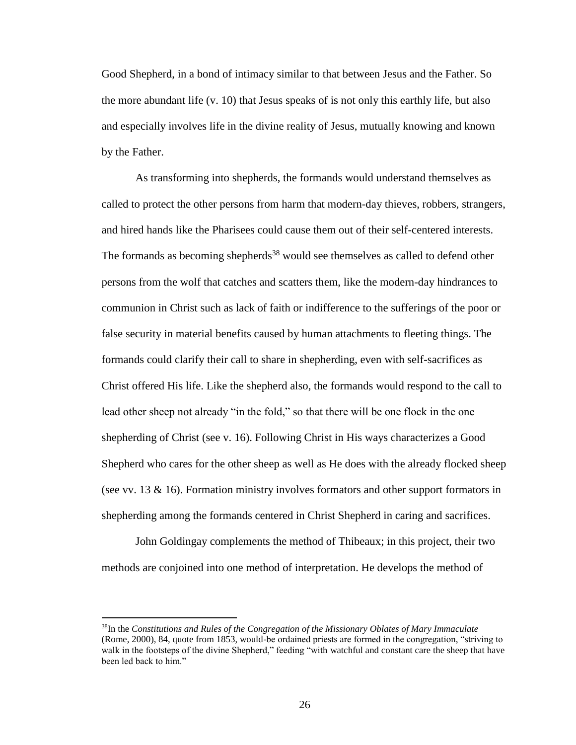Good Shepherd, in a bond of intimacy similar to that between Jesus and the Father. So the more abundant life (v. 10) that Jesus speaks of is not only this earthly life, but also and especially involves life in the divine reality of Jesus, mutually knowing and known by the Father.

As transforming into shepherds, the formands would understand themselves as called to protect the other persons from harm that modern-day thieves, robbers, strangers, and hired hands like the Pharisees could cause them out of their self-centered interests. The formands as becoming shepherds<sup>38</sup> would see themselves as called to defend other persons from the wolf that catches and scatters them, like the modern-day hindrances to communion in Christ such as lack of faith or indifference to the sufferings of the poor or false security in material benefits caused by human attachments to fleeting things. The formands could clarify their call to share in shepherding, even with self-sacrifices as Christ offered His life. Like the shepherd also, the formands would respond to the call to lead other sheep not already "in the fold," so that there will be one flock in the one shepherding of Christ (see v. 16). Following Christ in His ways characterizes a Good Shepherd who cares for the other sheep as well as He does with the already flocked sheep (see vv. 13 & 16). Formation ministry involves formators and other support formators in shepherding among the formands centered in Christ Shepherd in caring and sacrifices.

John Goldingay complements the method of Thibeaux; in this project, their two methods are conjoined into one method of interpretation. He develops the method of

<sup>38</sup>In the *Constitutions and Rules of the Congregation of the Missionary Oblates of Mary Immaculate*  (Rome, 2000), 84, quote from 1853, would-be ordained priests are formed in the congregation, "striving to walk in the footsteps of the divine Shepherd," feeding "with watchful and constant care the sheep that have been led back to him."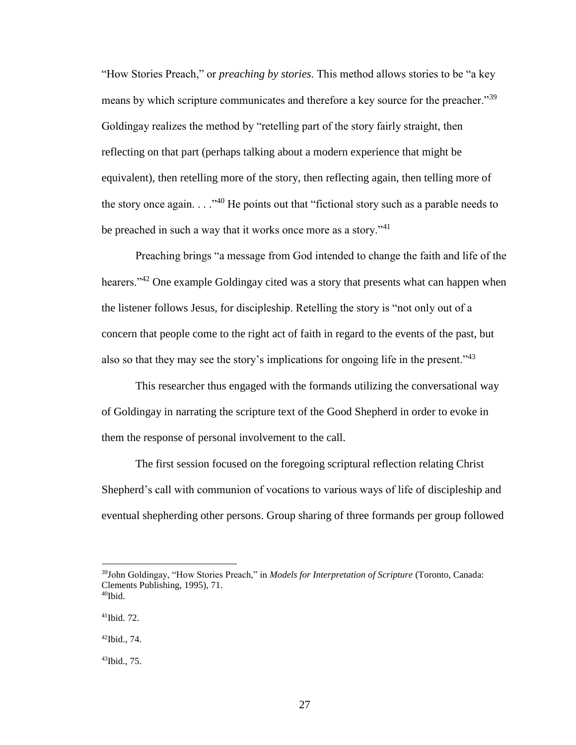"How Stories Preach," or *preaching by stories*. This method allows stories to be "a key means by which scripture communicates and therefore a key source for the preacher."<sup>39</sup> Goldingay realizes the method by "retelling part of the story fairly straight, then reflecting on that part (perhaps talking about a modern experience that might be equivalent), then retelling more of the story, then reflecting again, then telling more of the story once again.  $\ldots$ <sup>40</sup> He points out that "fictional story such as a parable needs to be preached in such a way that it works once more as a story. $141$ 

Preaching brings "a message from God intended to change the faith and life of the hearers."<sup>42</sup> One example Goldingay cited was a story that presents what can happen when the listener follows Jesus, for discipleship. Retelling the story is "not only out of a concern that people come to the right act of faith in regard to the events of the past, but also so that they may see the story's implications for ongoing life in the present." $43$ 

This researcher thus engaged with the formands utilizing the conversational way of Goldingay in narrating the scripture text of the Good Shepherd in order to evoke in them the response of personal involvement to the call.

The first session focused on the foregoing scriptural reflection relating Christ Shepherd's call with communion of vocations to various ways of life of discipleship and eventual shepherding other persons. Group sharing of three formands per group followed

<sup>39</sup>John Goldingay, "How Stories Preach," in *Models for Interpretation of Scripture* (Toronto, Canada: Clements Publishing, 1995), 71.  $40$ Ibid.

<sup>41</sup>Ibid. 72.

 $42$ Ibid., 74.

<sup>43</sup>Ibid., 75.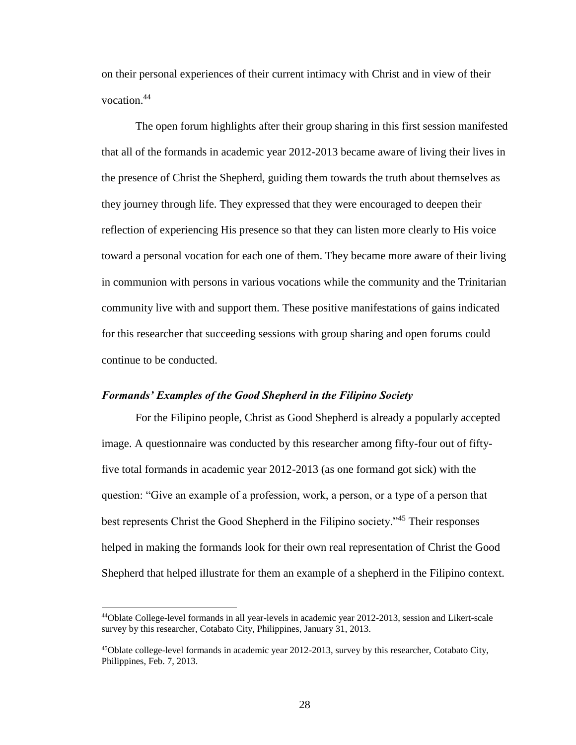on their personal experiences of their current intimacy with Christ and in view of their vocation. 44

The open forum highlights after their group sharing in this first session manifested that all of the formands in academic year 2012-2013 became aware of living their lives in the presence of Christ the Shepherd, guiding them towards the truth about themselves as they journey through life. They expressed that they were encouraged to deepen their reflection of experiencing His presence so that they can listen more clearly to His voice toward a personal vocation for each one of them. They became more aware of their living in communion with persons in various vocations while the community and the Trinitarian community live with and support them. These positive manifestations of gains indicated for this researcher that succeeding sessions with group sharing and open forums could continue to be conducted.

#### *Formands' Examples of the Good Shepherd in the Filipino Society*

 $\overline{a}$ 

For the Filipino people, Christ as Good Shepherd is already a popularly accepted image. A questionnaire was conducted by this researcher among fifty-four out of fiftyfive total formands in academic year 2012-2013 (as one formand got sick) with the question: "Give an example of a profession, work, a person, or a type of a person that best represents Christ the Good Shepherd in the Filipino society."<sup>45</sup> Their responses helped in making the formands look for their own real representation of Christ the Good Shepherd that helped illustrate for them an example of a shepherd in the Filipino context.

<sup>44</sup>Oblate College-level formands in all year-levels in academic year 2012-2013, session and Likert-scale survey by this researcher, Cotabato City, Philippines, January 31, 2013.

 $45$ Oblate college-level formands in academic year 2012-2013, survey by this researcher, Cotabato City, Philippines, Feb. 7, 2013.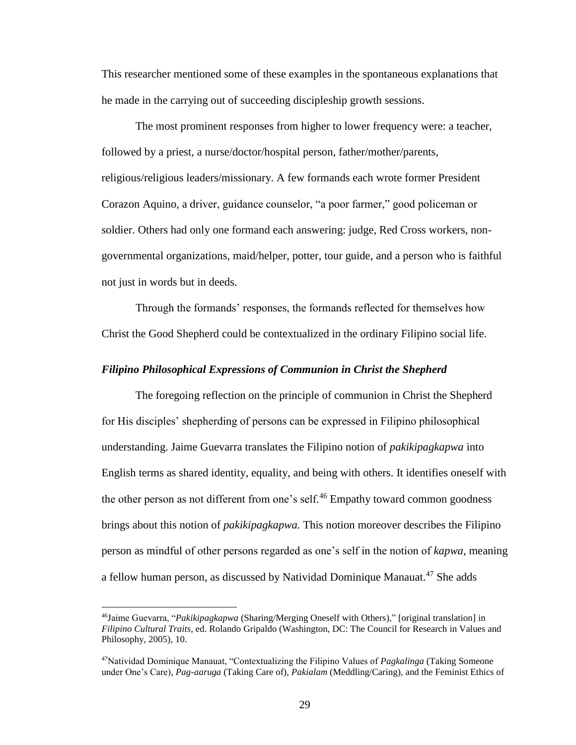This researcher mentioned some of these examples in the spontaneous explanations that he made in the carrying out of succeeding discipleship growth sessions.

The most prominent responses from higher to lower frequency were: a teacher, followed by a priest, a nurse/doctor/hospital person, father/mother/parents, religious/religious leaders/missionary. A few formands each wrote former President Corazon Aquino, a driver, guidance counselor, "a poor farmer," good policeman or soldier. Others had only one formand each answering: judge, Red Cross workers, nongovernmental organizations, maid/helper, potter, tour guide, and a person who is faithful not just in words but in deeds.

Through the formands' responses, the formands reflected for themselves how Christ the Good Shepherd could be contextualized in the ordinary Filipino social life.

### *Filipino Philosophical Expressions of Communion in Christ the Shepherd*

The foregoing reflection on the principle of communion in Christ the Shepherd for His disciples' shepherding of persons can be expressed in Filipino philosophical understanding. Jaime Guevarra translates the Filipino notion of *pakikipagkapwa* into English terms as shared identity, equality, and being with others. It identifies oneself with the other person as not different from one's self.<sup>46</sup> Empathy toward common goodness brings about this notion of *pakikipagkapwa.* This notion moreover describes the Filipino person as mindful of other persons regarded as one's self in the notion of *kapwa*, meaning a fellow human person, as discussed by Natividad Dominique Manauat.<sup>47</sup> She adds

<sup>46</sup>Jaime Guevarra, "*Pakikipagkapwa* (Sharing/Merging Oneself with Others)," [original translation] in *Filipino Cultural Traits*, ed. Rolando Gripaldo (Washington, DC: The Council for Research in Values and Philosophy, 2005), 10.

<sup>47</sup>Natividad Dominique Manauat, "Contextualizing the Filipino Values of *Pagkalinga* (Taking Someone under One's Care), *Pag-aaruga* (Taking Care of), *Pakialam* (Meddling/Caring), and the Feminist Ethics of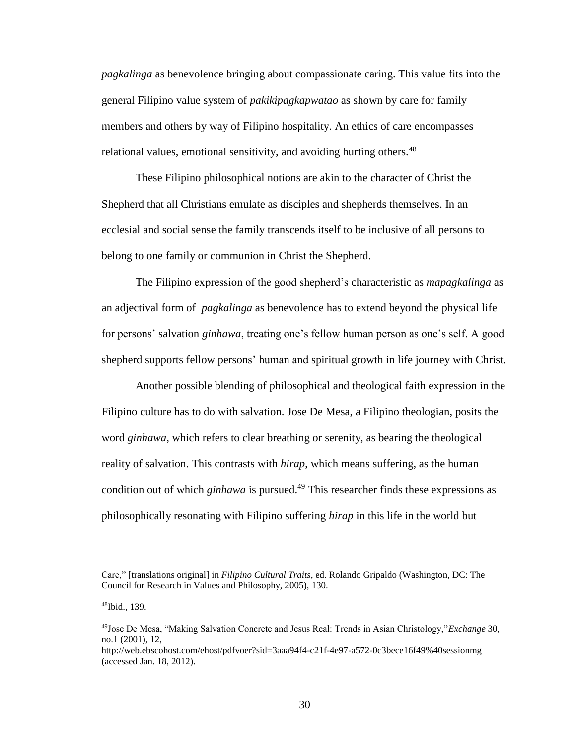*pagkalinga* as benevolence bringing about compassionate caring. This value fits into the general Filipino value system of *pakikipagkapwatao* as shown by care for family members and others by way of Filipino hospitality. An ethics of care encompasses relational values, emotional sensitivity, and avoiding hurting others.<sup>48</sup>

These Filipino philosophical notions are akin to the character of Christ the Shepherd that all Christians emulate as disciples and shepherds themselves. In an ecclesial and social sense the family transcends itself to be inclusive of all persons to belong to one family or communion in Christ the Shepherd.

The Filipino expression of the good shepherd's characteristic as *mapagkalinga* as an adjectival form of *pagkalinga* as benevolence has to extend beyond the physical life for persons' salvation *ginhawa*, treating one's fellow human person as one's self. A good shepherd supports fellow persons' human and spiritual growth in life journey with Christ.

Another possible blending of philosophical and theological faith expression in the Filipino culture has to do with salvation. Jose De Mesa, a Filipino theologian, posits the word *ginhawa*, which refers to clear breathing or serenity, as bearing the theological reality of salvation. This contrasts with *hirap*, which means suffering, as the human condition out of which *ginhawa* is pursued.<sup>49</sup> This researcher finds these expressions as philosophically resonating with Filipino suffering *hirap* in this life in the world but

Care," [translations original] in *Filipino Cultural Traits*, ed. Rolando Gripaldo (Washington, DC: The Council for Research in Values and Philosophy, 2005), 130.

<sup>48</sup>Ibid., 139.

<sup>49</sup>Jose De Mesa, "Making Salvation Concrete and Jesus Real: Trends in Asian Christology,"*Exchange* 30, no.1 (2001), 12,

http://web.ebscohost.com/ehost/pdfvoer?sid=3aaa94f4-c21f-4e97-a572-0c3bece16f49%40sessionmg (accessed Jan. 18, 2012).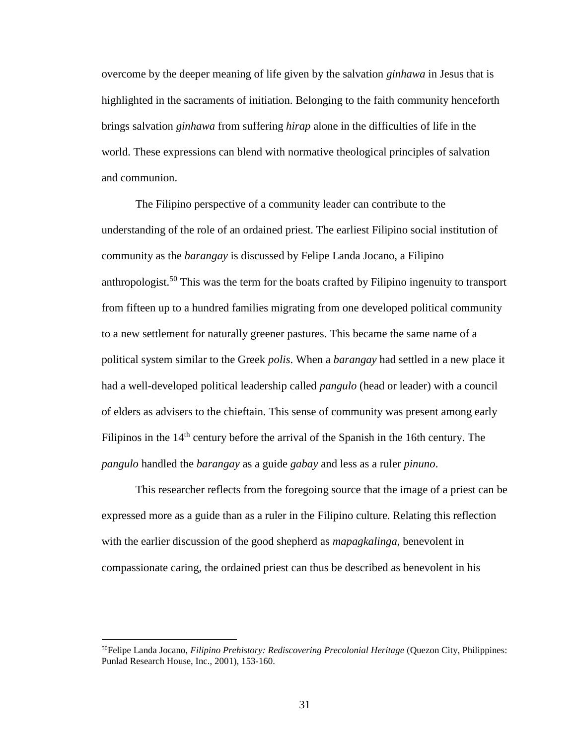overcome by the deeper meaning of life given by the salvation *ginhawa* in Jesus that is highlighted in the sacraments of initiation. Belonging to the faith community henceforth brings salvation *ginhawa* from suffering *hirap* alone in the difficulties of life in the world. These expressions can blend with normative theological principles of salvation and communion.

The Filipino perspective of a community leader can contribute to the understanding of the role of an ordained priest. The earliest Filipino social institution of community as the *barangay* is discussed by Felipe Landa Jocano, a Filipino anthropologist.<sup>50</sup> This was the term for the boats crafted by Filipino ingenuity to transport from fifteen up to a hundred families migrating from one developed political community to a new settlement for naturally greener pastures. This became the same name of a political system similar to the Greek *polis*. When a *barangay* had settled in a new place it had a well-developed political leadership called *pangulo* (head or leader) with a council of elders as advisers to the chieftain. This sense of community was present among early Filipinos in the  $14<sup>th</sup>$  century before the arrival of the Spanish in the 16th century. The *pangulo* handled the *barangay* as a guide *gabay* and less as a ruler *pinuno*.

This researcher reflects from the foregoing source that the image of a priest can be expressed more as a guide than as a ruler in the Filipino culture. Relating this reflection with the earlier discussion of the good shepherd as *mapagkalinga*, benevolent in compassionate caring, the ordained priest can thus be described as benevolent in his

<sup>50</sup>Felipe Landa Jocano, *Filipino Prehistory: Rediscovering Precolonial Heritage* (Quezon City, Philippines: Punlad Research House, Inc., 2001), 153-160.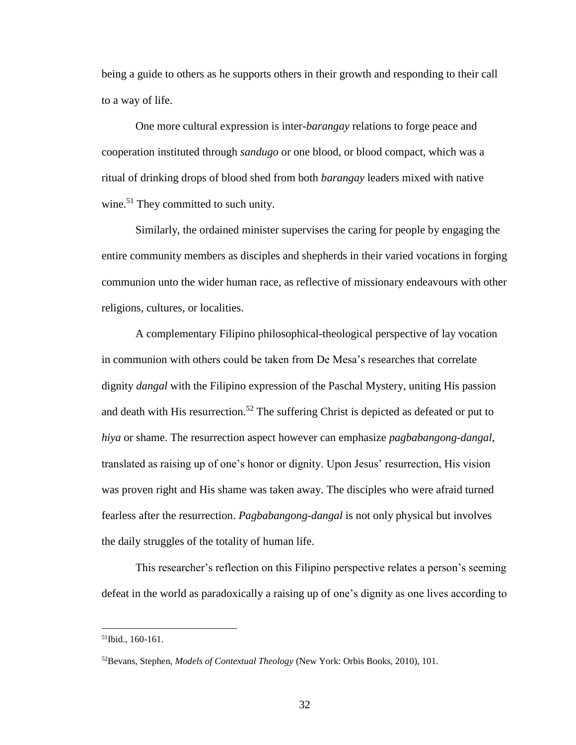being a guide to others as he supports others in their growth and responding to their call to a way of life.

One more cultural expression is inter-*barangay* relations to forge peace and cooperation instituted through *sandugo* or one blood, or blood compact, which was a ritual of drinking drops of blood shed from both *barangay* leaders mixed with native wine. $51$  They committed to such unity.

Similarly, the ordained minister supervises the caring for people by engaging the entire community members as disciples and shepherds in their varied vocations in forging communion unto the wider human race, as reflective of missionary endeavours with other religions, cultures, or localities.

 A complementary Filipino philosophical-theological perspective of lay vocation in communion with others could be taken from De Mesa's researches that correlate dignity *dangal* with the Filipino expression of the Paschal Mystery, uniting His passion and death with His resurrection.<sup>52</sup> The suffering Christ is depicted as defeated or put to *hiya* or shame. The resurrection aspect however can emphasize *pagbabangong-dangal*, translated as raising up of one's honor or dignity. Upon Jesus' resurrection, His vision was proven right and His shame was taken away. The disciples who were afraid turned fearless after the resurrection. *Pagbabangong-dangal* is not only physical but involves the daily struggles of the totality of human life.

This researcher's reflection on this Filipino perspective relates a person's seeming defeat in the world as paradoxically a raising up of one's dignity as one lives according to

<sup>51</sup>Ibid., 160-161.

<sup>52</sup>Bevans, Stephen, *Models of Contextual Theology* (New York: Orbis Books, 2010), 101.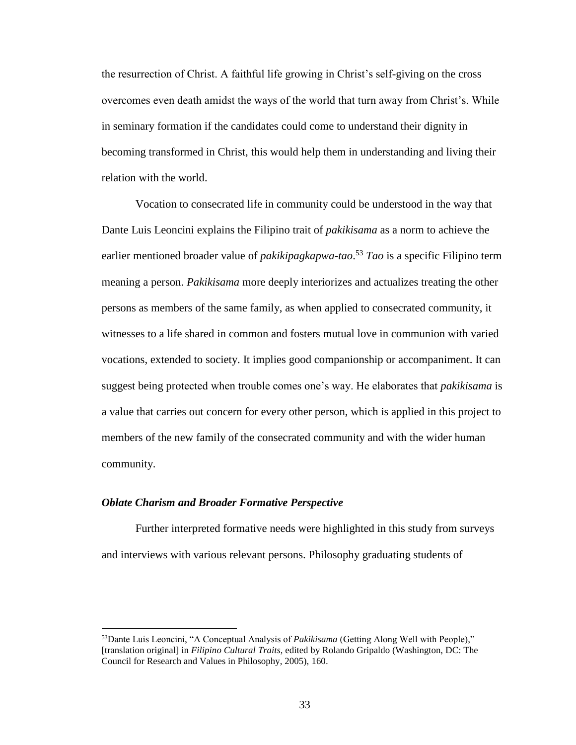the resurrection of Christ. A faithful life growing in Christ's self-giving on the cross overcomes even death amidst the ways of the world that turn away from Christ's. While in seminary formation if the candidates could come to understand their dignity in becoming transformed in Christ, this would help them in understanding and living their relation with the world.

Vocation to consecrated life in community could be understood in the way that Dante Luis Leoncini explains the Filipino trait of *pakikisama* as a norm to achieve the earlier mentioned broader value of *pakikipagkapwa-tao*. <sup>53</sup> *Tao* is a specific Filipino term meaning a person. *Pakikisama* more deeply interiorizes and actualizes treating the other persons as members of the same family, as when applied to consecrated community, it witnesses to a life shared in common and fosters mutual love in communion with varied vocations, extended to society. It implies good companionship or accompaniment. It can suggest being protected when trouble comes one's way. He elaborates that *pakikisama* is a value that carries out concern for every other person, which is applied in this project to members of the new family of the consecrated community and with the wider human community.

## *Oblate Charism and Broader Formative Perspective*

 $\overline{a}$ 

Further interpreted formative needs were highlighted in this study from surveys and interviews with various relevant persons. Philosophy graduating students of

<sup>53</sup>Dante Luis Leoncini, "A Conceptual Analysis of *Pakikisama* (Getting Along Well with People)," [translation original] in *Filipino Cultural Traits*, edited by Rolando Gripaldo (Washington, DC: The Council for Research and Values in Philosophy, 2005), 160.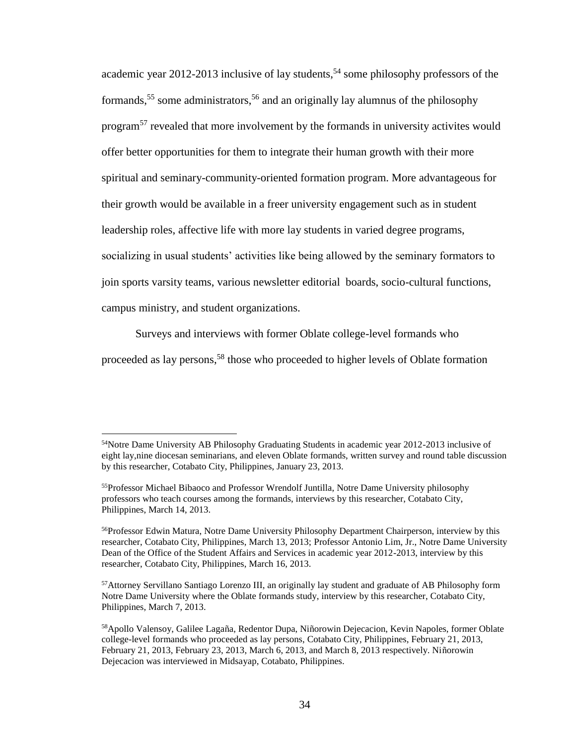academic year 2012-2013 inclusive of lay students,<sup>54</sup> some philosophy professors of the formands, <sup>55</sup> some administrators, <sup>56</sup> and an originally lay alumnus of the philosophy program<sup>57</sup> revealed that more involvement by the formands in university activites would offer better opportunities for them to integrate their human growth with their more spiritual and seminary-community-oriented formation program. More advantageous for their growth would be available in a freer university engagement such as in student leadership roles, affective life with more lay students in varied degree programs, socializing in usual students' activities like being allowed by the seminary formators to join sports varsity teams, various newsletter editorial boards, socio-cultural functions, campus ministry, and student organizations.

Surveys and interviews with former Oblate college-level formands who

proceeded as lay persons,<sup>58</sup> those who proceeded to higher levels of Oblate formation

<sup>&</sup>lt;sup>54</sup>Notre Dame University AB Philosophy Graduating Students in academic year 2012-2013 inclusive of eight lay,nine diocesan seminarians, and eleven Oblate formands, written survey and round table discussion by this researcher, Cotabato City, Philippines, January 23, 2013.

<sup>&</sup>lt;sup>55</sup>Professor Michael Bibaoco and Professor Wrendolf Juntilla, Notre Dame University philosophy professors who teach courses among the formands, interviews by this researcher, Cotabato City, Philippines, March 14, 2013.

<sup>&</sup>lt;sup>56</sup>Professor Edwin Matura, Notre Dame University Philosophy Department Chairperson, interview by this researcher, Cotabato City, Philippines, March 13, 2013; Professor Antonio Lim, Jr., Notre Dame University Dean of the Office of the Student Affairs and Services in academic year 2012-2013, interview by this researcher, Cotabato City, Philippines, March 16, 2013.

<sup>57</sup>Attorney Servillano Santiago Lorenzo III, an originally lay student and graduate of AB Philosophy form Notre Dame University where the Oblate formands study, interview by this researcher, Cotabato City, Philippines, March 7, 2013.

<sup>58</sup>Apollo Valensoy, Galilee Lagaña, Redentor Dupa, Niñorowin Dejecacion, Kevin Napoles, former Oblate college-level formands who proceeded as lay persons, Cotabato City, Philippines, February 21, 2013, February 21, 2013, February 23, 2013, March 6, 2013, and March 8, 2013 respectively. Niñorowin Dejecacion was interviewed in Midsayap, Cotabato, Philippines.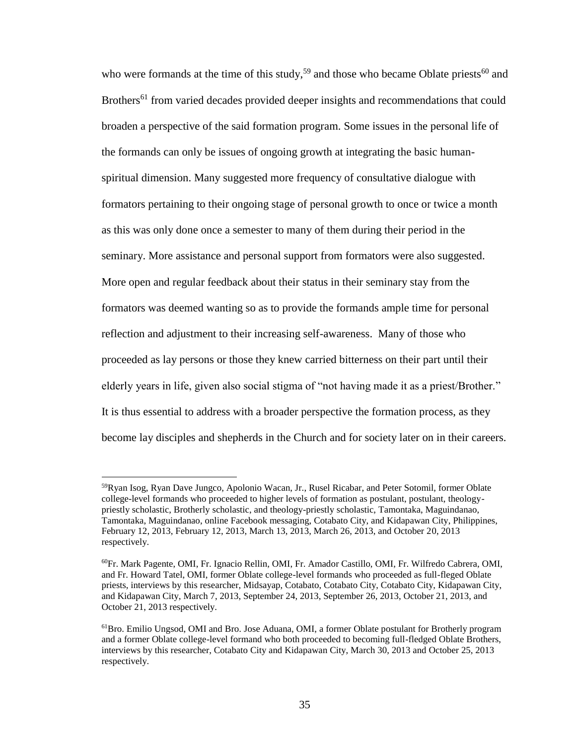who were formands at the time of this study,<sup>59</sup> and those who became Oblate priests<sup>60</sup> and Brothers<sup>61</sup> from varied decades provided deeper insights and recommendations that could broaden a perspective of the said formation program. Some issues in the personal life of the formands can only be issues of ongoing growth at integrating the basic humanspiritual dimension. Many suggested more frequency of consultative dialogue with formators pertaining to their ongoing stage of personal growth to once or twice a month as this was only done once a semester to many of them during their period in the seminary. More assistance and personal support from formators were also suggested. More open and regular feedback about their status in their seminary stay from the formators was deemed wanting so as to provide the formands ample time for personal reflection and adjustment to their increasing self-awareness. Many of those who proceeded as lay persons or those they knew carried bitterness on their part until their elderly years in life, given also social stigma of "not having made it as a priest/Brother." It is thus essential to address with a broader perspective the formation process, as they become lay disciples and shepherds in the Church and for society later on in their careers.

<sup>59</sup>Ryan Isog, Ryan Dave Jungco, Apolonio Wacan, Jr., Rusel Ricabar, and Peter Sotomil, former Oblate college-level formands who proceeded to higher levels of formation as postulant, postulant, theologypriestly scholastic, Brotherly scholastic, and theology-priestly scholastic, Tamontaka, Maguindanao, Tamontaka, Maguindanao, online Facebook messaging, Cotabato City, and Kidapawan City, Philippines, February 12, 2013, February 12, 2013, March 13, 2013, March 26, 2013, and October 20, 2013 respectively.

<sup>60</sup>Fr. Mark Pagente, OMI, Fr. Ignacio Rellin, OMI, Fr. Amador Castillo, OMI, Fr. Wilfredo Cabrera, OMI, and Fr. Howard Tatel, OMI, former Oblate college-level formands who proceeded as full-fleged Oblate priests, interviews by this researcher, Midsayap, Cotabato, Cotabato City, Cotabato City, Kidapawan City, and Kidapawan City, March 7, 2013, September 24, 2013, September 26, 2013, October 21, 2013, and October 21, 2013 respectively.

<sup>61</sup>Bro. Emilio Ungsod, OMI and Bro. Jose Aduana, OMI, a former Oblate postulant for Brotherly program and a former Oblate college-level formand who both proceeded to becoming full-fledged Oblate Brothers, interviews by this researcher, Cotabato City and Kidapawan City, March 30, 2013 and October 25, 2013 respectively.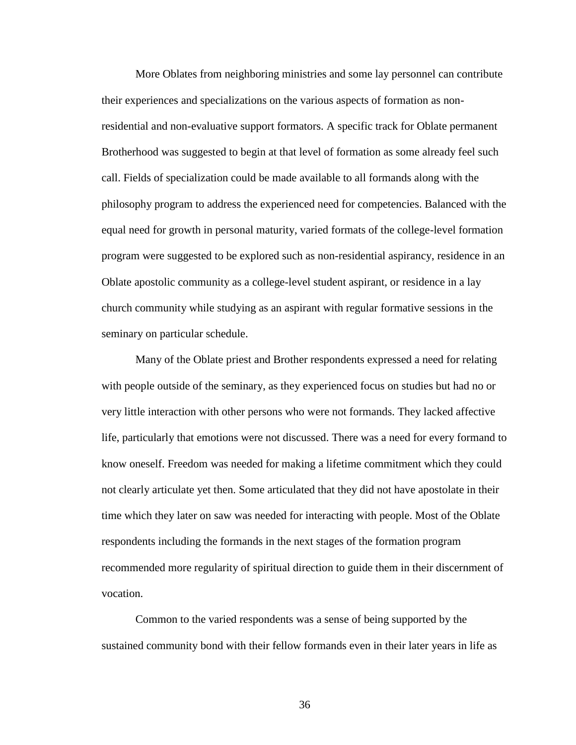More Oblates from neighboring ministries and some lay personnel can contribute their experiences and specializations on the various aspects of formation as nonresidential and non-evaluative support formators. A specific track for Oblate permanent Brotherhood was suggested to begin at that level of formation as some already feel such call. Fields of specialization could be made available to all formands along with the philosophy program to address the experienced need for competencies. Balanced with the equal need for growth in personal maturity, varied formats of the college-level formation program were suggested to be explored such as non-residential aspirancy, residence in an Oblate apostolic community as a college-level student aspirant, or residence in a lay church community while studying as an aspirant with regular formative sessions in the seminary on particular schedule.

Many of the Oblate priest and Brother respondents expressed a need for relating with people outside of the seminary, as they experienced focus on studies but had no or very little interaction with other persons who were not formands. They lacked affective life, particularly that emotions were not discussed. There was a need for every formand to know oneself. Freedom was needed for making a lifetime commitment which they could not clearly articulate yet then. Some articulated that they did not have apostolate in their time which they later on saw was needed for interacting with people. Most of the Oblate respondents including the formands in the next stages of the formation program recommended more regularity of spiritual direction to guide them in their discernment of vocation.

Common to the varied respondents was a sense of being supported by the sustained community bond with their fellow formands even in their later years in life as

36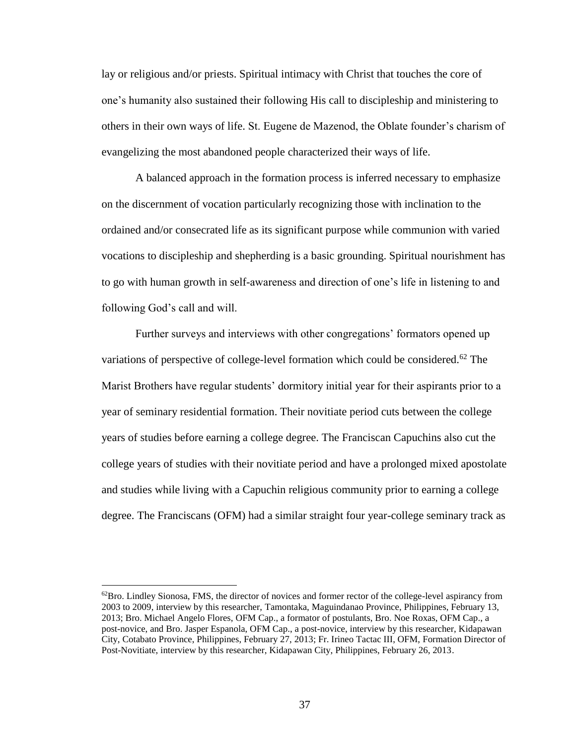lay or religious and/or priests. Spiritual intimacy with Christ that touches the core of one's humanity also sustained their following His call to discipleship and ministering to others in their own ways of life. St. Eugene de Mazenod, the Oblate founder's charism of evangelizing the most abandoned people characterized their ways of life.

A balanced approach in the formation process is inferred necessary to emphasize on the discernment of vocation particularly recognizing those with inclination to the ordained and/or consecrated life as its significant purpose while communion with varied vocations to discipleship and shepherding is a basic grounding. Spiritual nourishment has to go with human growth in self-awareness and direction of one's life in listening to and following God's call and will.

Further surveys and interviews with other congregations' formators opened up variations of perspective of college-level formation which could be considered.<sup>62</sup> The Marist Brothers have regular students' dormitory initial year for their aspirants prior to a year of seminary residential formation. Their novitiate period cuts between the college years of studies before earning a college degree. The Franciscan Capuchins also cut the college years of studies with their novitiate period and have a prolonged mixed apostolate and studies while living with a Capuchin religious community prior to earning a college degree. The Franciscans (OFM) had a similar straight four year-college seminary track as

 $62B$ ro. Lindley Sionosa, FMS, the director of novices and former rector of the college-level aspirancy from 2003 to 2009, interview by this researcher, Tamontaka, Maguindanao Province, Philippines, February 13, 2013; Bro. Michael Angelo Flores, OFM Cap., a formator of postulants, Bro. Noe Roxas, OFM Cap., a post-novice, and Bro. Jasper Espanola, OFM Cap., a post-novice, interview by this researcher, Kidapawan City, Cotabato Province, Philippines, February 27, 2013; Fr. Irineo Tactac III, OFM, Formation Director of Post-Novitiate, interview by this researcher, Kidapawan City, Philippines, February 26, 2013.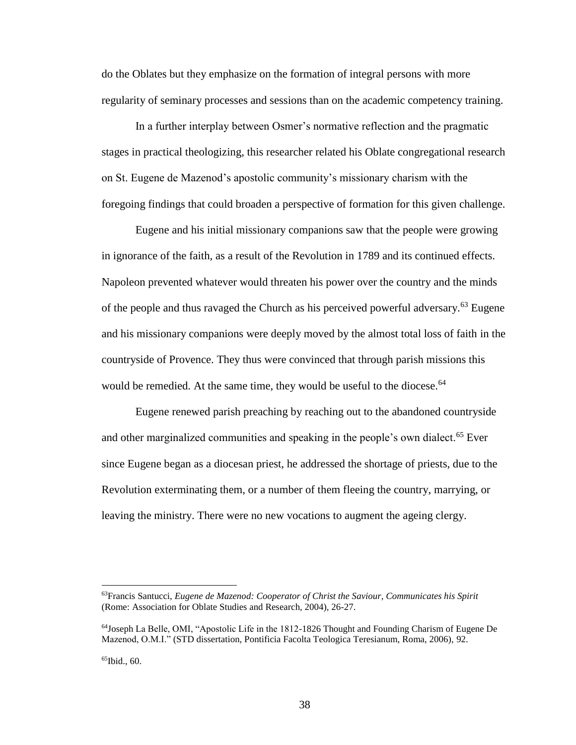do the Oblates but they emphasize on the formation of integral persons with more regularity of seminary processes and sessions than on the academic competency training.

In a further interplay between Osmer's normative reflection and the pragmatic stages in practical theologizing, this researcher related his Oblate congregational research on St. Eugene de Mazenod's apostolic community's missionary charism with the foregoing findings that could broaden a perspective of formation for this given challenge.

Eugene and his initial missionary companions saw that the people were growing in ignorance of the faith, as a result of the Revolution in 1789 and its continued effects. Napoleon prevented whatever would threaten his power over the country and the minds of the people and thus ravaged the Church as his perceived powerful adversary.<sup>63</sup> Eugene and his missionary companions were deeply moved by the almost total loss of faith in the countryside of Provence. They thus were convinced that through parish missions this would be remedied. At the same time, they would be useful to the diocese.<sup>64</sup>

Eugene renewed parish preaching by reaching out to the abandoned countryside and other marginalized communities and speaking in the people's own dialect.<sup>65</sup> Ever since Eugene began as a diocesan priest, he addressed the shortage of priests, due to the Revolution exterminating them, or a number of them fleeing the country, marrying, or leaving the ministry. There were no new vocations to augment the ageing clergy.

<sup>63</sup>Francis Santucci, *Eugene de Mazenod: Cooperator of Christ the Saviour, Communicates his Spirit* (Rome: Association for Oblate Studies and Research, 2004), 26-27.

<sup>64</sup>Joseph La Belle, OMI, "Apostolic Life in the 1812-1826 Thought and Founding Charism of Eugene De Mazenod, O.M.I." (STD dissertation, Pontificia Facolta Teologica Teresianum, Roma, 2006), 92.

 $65$ Ibid.,  $60$ .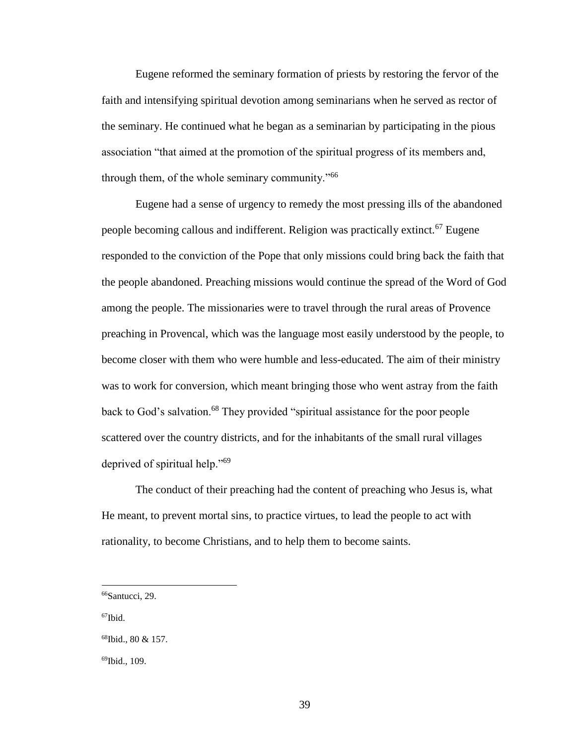Eugene reformed the seminary formation of priests by restoring the fervor of the faith and intensifying spiritual devotion among seminarians when he served as rector of the seminary. He continued what he began as a seminarian by participating in the pious association "that aimed at the promotion of the spiritual progress of its members and, through them, of the whole seminary community."<sup>66</sup>

Eugene had a sense of urgency to remedy the most pressing ills of the abandoned people becoming callous and indifferent. Religion was practically extinct.<sup>67</sup> Eugene responded to the conviction of the Pope that only missions could bring back the faith that the people abandoned. Preaching missions would continue the spread of the Word of God among the people. The missionaries were to travel through the rural areas of Provence preaching in Provencal, which was the language most easily understood by the people, to become closer with them who were humble and less-educated. The aim of their ministry was to work for conversion, which meant bringing those who went astray from the faith back to God's salvation.<sup>68</sup> They provided "spiritual assistance for the poor people scattered over the country districts, and for the inhabitants of the small rural villages deprived of spiritual help."<sup>69</sup>

The conduct of their preaching had the content of preaching who Jesus is, what He meant, to prevent mortal sins, to practice virtues, to lead the people to act with rationality, to become Christians, and to help them to become saints.

<sup>66</sup>Santucci, 29.

<sup>67</sup>Ibid.

<sup>68</sup>Ibid., 80 & 157.

<sup>69</sup>Ibid., 109.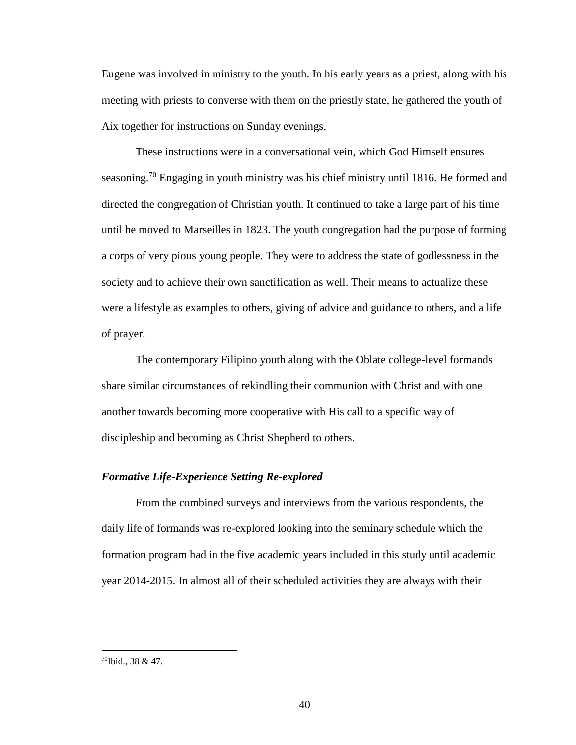Eugene was involved in ministry to the youth. In his early years as a priest, along with his meeting with priests to converse with them on the priestly state, he gathered the youth of Aix together for instructions on Sunday evenings.

These instructions were in a conversational vein, which God Himself ensures seasoning.<sup>70</sup> Engaging in youth ministry was his chief ministry until 1816. He formed and directed the congregation of Christian youth. It continued to take a large part of his time until he moved to Marseilles in 1823. The youth congregation had the purpose of forming a corps of very pious young people. They were to address the state of godlessness in the society and to achieve their own sanctification as well. Their means to actualize these were a lifestyle as examples to others, giving of advice and guidance to others, and a life of prayer.

The contemporary Filipino youth along with the Oblate college-level formands share similar circumstances of rekindling their communion with Christ and with one another towards becoming more cooperative with His call to a specific way of discipleship and becoming as Christ Shepherd to others.

## *Formative Life-Experience Setting Re-explored*

From the combined surveys and interviews from the various respondents, the daily life of formands was re-explored looking into the seminary schedule which the formation program had in the five academic years included in this study until academic year 2014-2015. In almost all of their scheduled activities they are always with their

<sup>70</sup>Ibid., 38 & 47.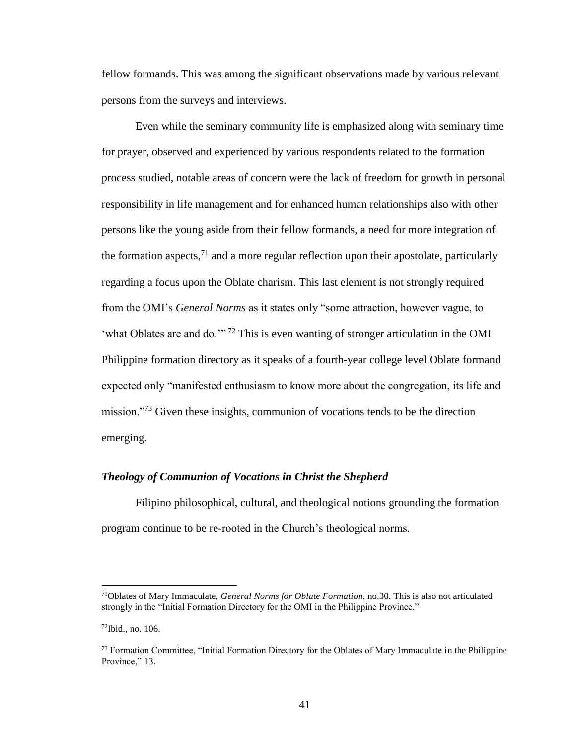fellow formands. This was among the significant observations made by various relevant persons from the surveys and interviews.

Even while the seminary community life is emphasized along with seminary time for prayer, observed and experienced by various respondents related to the formation process studied, notable areas of concern were the lack of freedom for growth in personal responsibility in life management and for enhanced human relationships also with other persons like the young aside from their fellow formands, a need for more integration of the formation aspects,  $^{71}$  and a more regular reflection upon their apostolate, particularly regarding a focus upon the Oblate charism. This last element is not strongly required from the OMI's *General Norms* as it states only "some attraction, however vague, to 'what Oblates are and do.'" <sup>72</sup> This is even wanting of stronger articulation in the OMI Philippine formation directory as it speaks of a fourth-year college level Oblate formand expected only "manifested enthusiasm to know more about the congregation, its life and mission."<sup>73</sup> Given these insights, communion of vocations tends to be the direction emerging.

#### *Theology of Communion of Vocations in Christ the Shepherd*

Filipino philosophical, cultural, and theological notions grounding the formation program continue to be re-rooted in the Church's theological norms.

<sup>71</sup>Oblates of Mary Immaculate, *General Norms for Oblate Formation*, no.30. This is also not articulated strongly in the "Initial Formation Directory for the OMI in the Philippine Province."

 $72$ Ibid., no. 106.

 $^{73}$  Formation Committee, "Initial Formation Directory for the Oblates of Mary Immaculate in the Philippine Province," 13.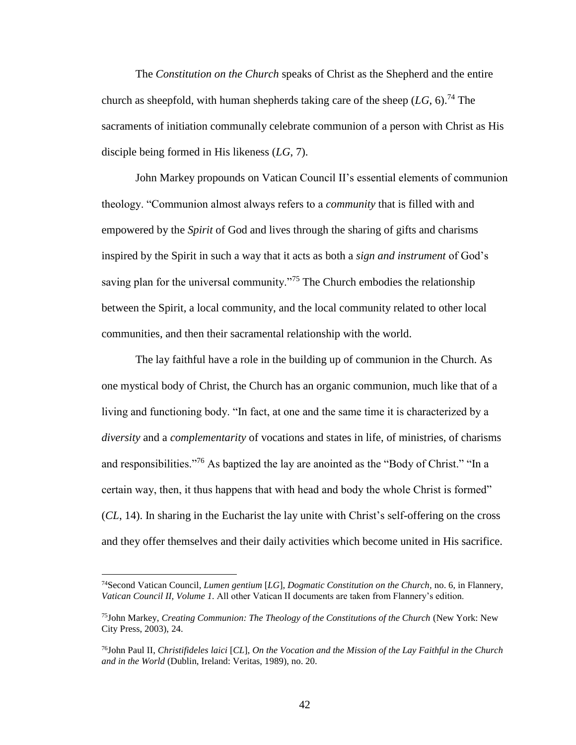The *Constitution on the Church* speaks of Christ as the Shepherd and the entire church as sheepfold, with human shepherds taking care of the sheep  $(LG, 6)$ <sup>74</sup>. The sacraments of initiation communally celebrate communion of a person with Christ as His disciple being formed in His likeness (*LG*, 7).

John Markey propounds on Vatican Council II's essential elements of communion theology. "Communion almost always refers to a *community* that is filled with and empowered by the *Spirit* of God and lives through the sharing of gifts and charisms inspired by the Spirit in such a way that it acts as both a *sign and instrument* of God's saving plan for the universal community.<sup> $275$ </sup> The Church embodies the relationship between the Spirit, a local community, and the local community related to other local communities, and then their sacramental relationship with the world.

The lay faithful have a role in the building up of communion in the Church. As one mystical body of Christ, the Church has an organic communion, much like that of a living and functioning body. "In fact, at one and the same time it is characterized by a *diversity* and a *complementarity* of vocations and states in life, of ministries, of charisms and responsibilities."<sup>76</sup> As baptized the lay are anointed as the "Body of Christ." "In a certain way, then, it thus happens that with head and body the whole Christ is formed" (*CL*, 14). In sharing in the Eucharist the lay unite with Christ's self-offering on the cross and they offer themselves and their daily activities which become united in His sacrifice.

<sup>74</sup>Second Vatican Council, *Lumen gentium* [*LG*], *Dogmatic Constitution on the Church,* no. 6, in Flannery, *Vatican Council II, Volume 1.* All other Vatican II documents are taken from Flannery's edition.

<sup>75</sup>John Markey, *Creating Communion: The Theology of the Constitutions of the Church* (New York: New City Press, 2003), 24.

<sup>76</sup>John Paul II, *Christifideles laici* [*CL*], *On the Vocation and the Mission of the Lay Faithful in the Church and in the World* (Dublin, Ireland: Veritas, 1989), no. 20.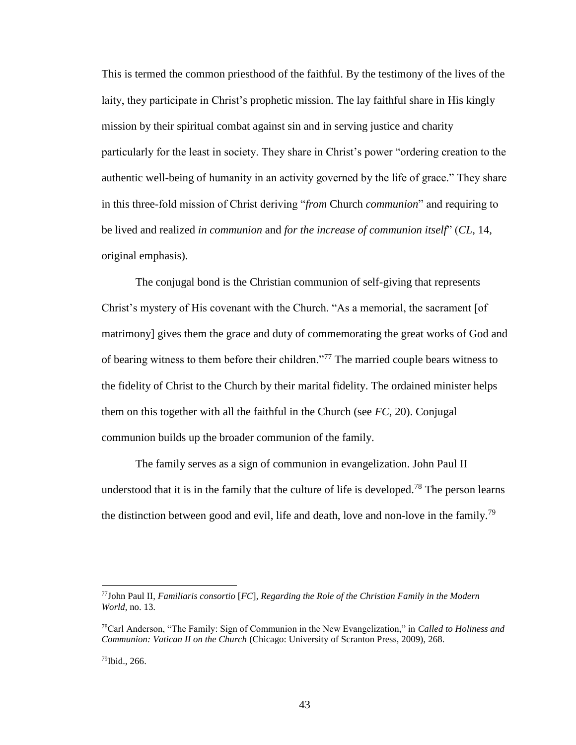This is termed the common priesthood of the faithful. By the testimony of the lives of the laity, they participate in Christ's prophetic mission. The lay faithful share in His kingly mission by their spiritual combat against sin and in serving justice and charity particularly for the least in society. They share in Christ's power "ordering creation to the authentic well-being of humanity in an activity governed by the life of grace." They share in this three-fold mission of Christ deriving "*from* Church *communion*" and requiring to be lived and realized *in communion* and *for the increase of communion itself*" (*CL*, 14, original emphasis).

The conjugal bond is the Christian communion of self-giving that represents Christ's mystery of His covenant with the Church. "As a memorial, the sacrament [of matrimony] gives them the grace and duty of commemorating the great works of God and of bearing witness to them before their children."<sup>77</sup> The married couple bears witness to the fidelity of Christ to the Church by their marital fidelity. The ordained minister helps them on this together with all the faithful in the Church (see *FC*, 20). Conjugal communion builds up the broader communion of the family.

The family serves as a sign of communion in evangelization. John Paul II understood that it is in the family that the culture of life is developed.<sup>78</sup> The person learns the distinction between good and evil, life and death, love and non-love in the family.<sup>79</sup>

<sup>77</sup>John Paul II, *Familiaris consortio* [*FC*], *Regarding the Role of the Christian Family in the Modern World*, no. 13*.*

<sup>78</sup>Carl Anderson, "The Family: Sign of Communion in the New Evangelization," in *Called to Holiness and Communion: Vatican II on the Church* (Chicago: University of Scranton Press, 2009), 268.

<sup>79</sup>Ibid., 266.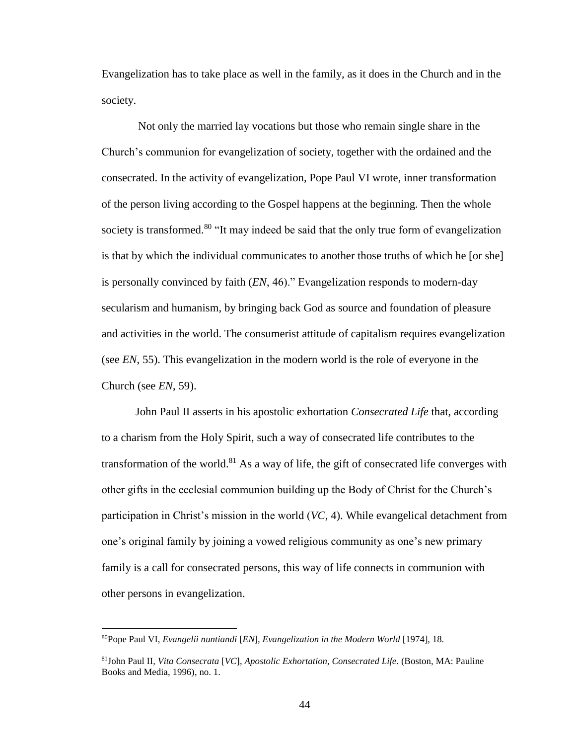Evangelization has to take place as well in the family, as it does in the Church and in the society.

Not only the married lay vocations but those who remain single share in the Church's communion for evangelization of society, together with the ordained and the consecrated. In the activity of evangelization, Pope Paul VI wrote, inner transformation of the person living according to the Gospel happens at the beginning. Then the whole society is transformed.<sup>80</sup> "It may indeed be said that the only true form of evangelization is that by which the individual communicates to another those truths of which he [or she] is personally convinced by faith (*EN*, 46)." Evangelization responds to modern-day secularism and humanism, by bringing back God as source and foundation of pleasure and activities in the world. The consumerist attitude of capitalism requires evangelization (see *EN*, 55). This evangelization in the modern world is the role of everyone in the Church (see *EN*, 59).

John Paul II asserts in his apostolic exhortation *Consecrated Life* that, according to a charism from the Holy Spirit, such a way of consecrated life contributes to the transformation of the world. $81$  As a way of life, the gift of consecrated life converges with other gifts in the ecclesial communion building up the Body of Christ for the Church's participation in Christ's mission in the world (*VC*, 4). While evangelical detachment from one's original family by joining a vowed religious community as one's new primary family is a call for consecrated persons, this way of life connects in communion with other persons in evangelization.

<sup>80</sup>Pope Paul VI, *Evangelii nuntiandi* [*EN*], *Evangelization in the Modern World* [1974], 18.

<sup>81</sup>John Paul II, *Vita Consecrata* [*VC*], *Apostolic Exhortation, Consecrated Life.* (Boston, MA: Pauline Books and Media, 1996), no. 1.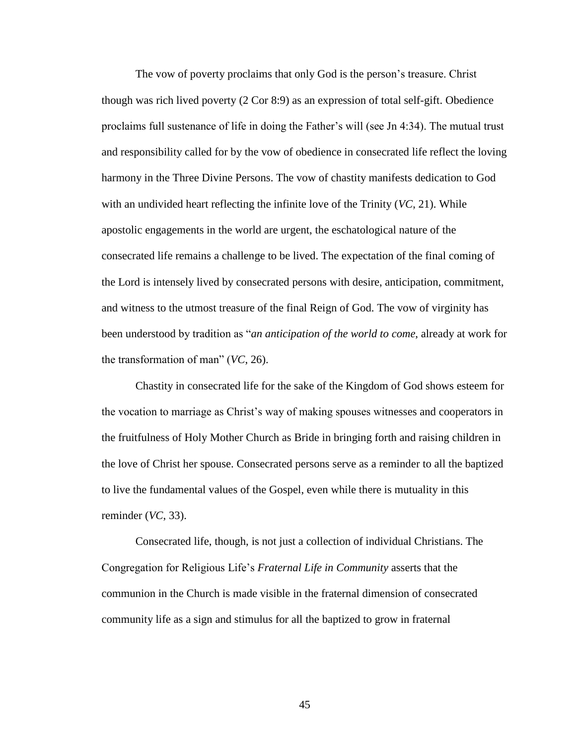The vow of poverty proclaims that only God is the person's treasure. Christ though was rich lived poverty (2 Cor 8:9) as an expression of total self-gift. Obedience proclaims full sustenance of life in doing the Father's will (see Jn 4:34). The mutual trust and responsibility called for by the vow of obedience in consecrated life reflect the loving harmony in the Three Divine Persons. The vow of chastity manifests dedication to God with an undivided heart reflecting the infinite love of the Trinity (*VC*, 21). While apostolic engagements in the world are urgent, the eschatological nature of the consecrated life remains a challenge to be lived. The expectation of the final coming of the Lord is intensely lived by consecrated persons with desire, anticipation, commitment, and witness to the utmost treasure of the final Reign of God. The vow of virginity has been understood by tradition as "*an anticipation of the world to come*, already at work for the transformation of man" (*VC*, 26).

Chastity in consecrated life for the sake of the Kingdom of God shows esteem for the vocation to marriage as Christ's way of making spouses witnesses and cooperators in the fruitfulness of Holy Mother Church as Bride in bringing forth and raising children in the love of Christ her spouse. Consecrated persons serve as a reminder to all the baptized to live the fundamental values of the Gospel, even while there is mutuality in this reminder (*VC*, 33).

Consecrated life, though, is not just a collection of individual Christians. The Congregation for Religious Life's *Fraternal Life in Community* asserts that the communion in the Church is made visible in the fraternal dimension of consecrated community life as a sign and stimulus for all the baptized to grow in fraternal

45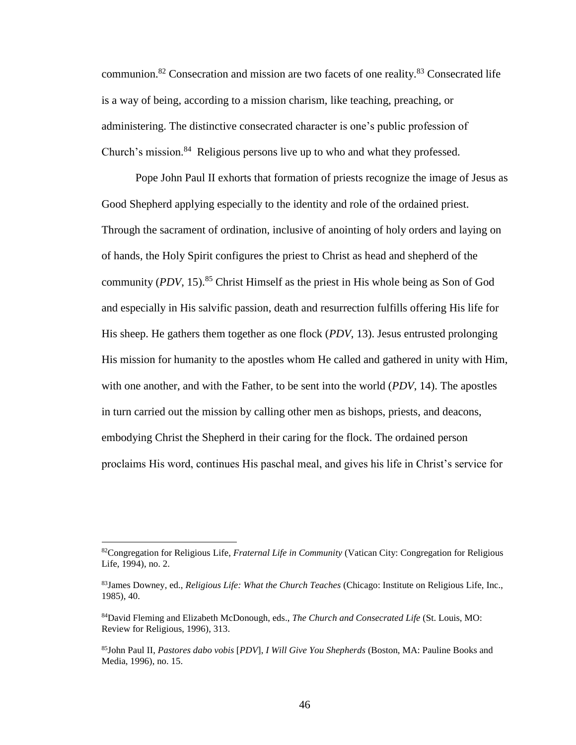communion.<sup>82</sup> Consecration and mission are two facets of one reality.<sup>83</sup> Consecrated life is a way of being, according to a mission charism, like teaching, preaching, or administering. The distinctive consecrated character is one's public profession of Church's mission. $84$  Religious persons live up to who and what they professed.

Pope John Paul II exhorts that formation of priests recognize the image of Jesus as Good Shepherd applying especially to the identity and role of the ordained priest. Through the sacrament of ordination, inclusive of anointing of holy orders and laying on of hands, the Holy Spirit configures the priest to Christ as head and shepherd of the community (*PDV*, 15).<sup>85</sup> Christ Himself as the priest in His whole being as Son of God and especially in His salvific passion, death and resurrection fulfills offering His life for His sheep. He gathers them together as one flock (*PDV*, 13). Jesus entrusted prolonging His mission for humanity to the apostles whom He called and gathered in unity with Him, with one another, and with the Father, to be sent into the world (*PDV*, 14). The apostles in turn carried out the mission by calling other men as bishops, priests, and deacons, embodying Christ the Shepherd in their caring for the flock. The ordained person proclaims His word, continues His paschal meal, and gives his life in Christ's service for

<sup>82</sup>Congregation for Religious Life, *Fraternal Life in Community* (Vatican City: Congregation for Religious Life, 1994), no. 2.

<sup>83</sup>James Downey, ed., *Religious Life: What the Church Teaches* (Chicago: Institute on Religious Life, Inc., 1985), 40.

<sup>84</sup>David Fleming and Elizabeth McDonough, eds., *The Church and Consecrated Life* (St. Louis, MO: Review for Religious, 1996), 313.

<sup>85</sup>John Paul II, *Pastores dabo vobis* [*PDV*], *I Will Give You Shepherds* (Boston, MA: Pauline Books and Media, 1996), no. 15.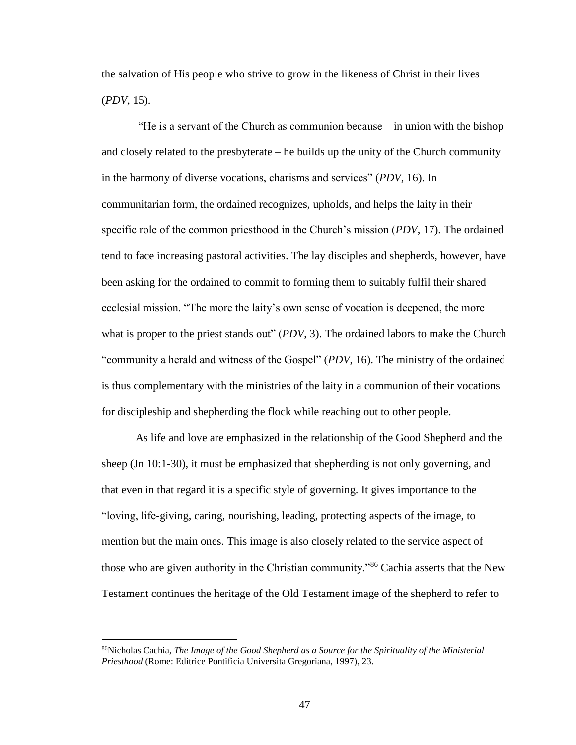the salvation of His people who strive to grow in the likeness of Christ in their lives (*PDV*, 15).

"He is a servant of the Church as communion because – in union with the bishop and closely related to the presbyterate – he builds up the unity of the Church community in the harmony of diverse vocations, charisms and services" (*PDV*, 16). In communitarian form, the ordained recognizes, upholds, and helps the laity in their specific role of the common priesthood in the Church's mission (*PDV*, 17). The ordained tend to face increasing pastoral activities. The lay disciples and shepherds, however, have been asking for the ordained to commit to forming them to suitably fulfil their shared ecclesial mission. "The more the laity's own sense of vocation is deepened, the more what is proper to the priest stands out" (*PDV*, 3). The ordained labors to make the Church "community a herald and witness of the Gospel" (*PDV*, 16). The ministry of the ordained is thus complementary with the ministries of the laity in a communion of their vocations for discipleship and shepherding the flock while reaching out to other people.

As life and love are emphasized in the relationship of the Good Shepherd and the sheep (Jn 10:1-30), it must be emphasized that shepherding is not only governing, and that even in that regard it is a specific style of governing. It gives importance to the "loving, life-giving, caring, nourishing, leading, protecting aspects of the image, to mention but the main ones. This image is also closely related to the service aspect of those who are given authority in the Christian community."<sup>86</sup> Cachia asserts that the New Testament continues the heritage of the Old Testament image of the shepherd to refer to

<sup>86</sup>Nicholas Cachia, *The Image of the Good Shepherd as a Source for the Spirituality of the Ministerial Priesthood* (Rome: Editrice Pontificia Universita Gregoriana, 1997), 23.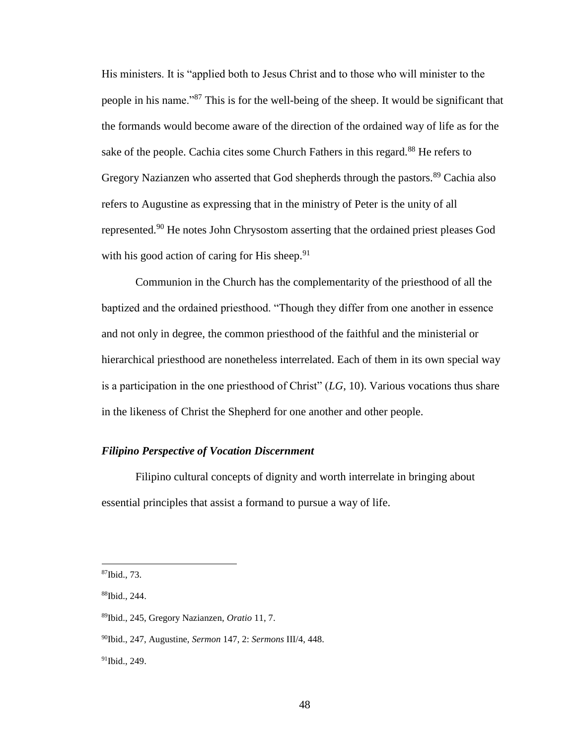His ministers. It is "applied both to Jesus Christ and to those who will minister to the people in his name."<sup>87</sup> This is for the well-being of the sheep. It would be significant that the formands would become aware of the direction of the ordained way of life as for the sake of the people. Cachia cites some Church Fathers in this regard.<sup>88</sup> He refers to Gregory Nazianzen who asserted that God shepherds through the pastors.<sup>89</sup> Cachia also refers to Augustine as expressing that in the ministry of Peter is the unity of all represented.<sup>90</sup> He notes John Chrysostom asserting that the ordained priest pleases God with his good action of caring for His sheep.  $91$ 

Communion in the Church has the complementarity of the priesthood of all the baptized and the ordained priesthood. "Though they differ from one another in essence and not only in degree, the common priesthood of the faithful and the ministerial or hierarchical priesthood are nonetheless interrelated. Each of them in its own special way is a participation in the one priesthood of Christ" (*LG*, 10). Various vocations thus share in the likeness of Christ the Shepherd for one another and other people.

# *Filipino Perspective of Vocation Discernment*

Filipino cultural concepts of dignity and worth interrelate in bringing about essential principles that assist a formand to pursue a way of life.

 $87$ Ibid., 73.

<sup>88</sup>Ibid., 244.

<sup>89</sup>Ibid., 245, Gregory Nazianzen, *Oratio* 11, 7.

<sup>90</sup>Ibid., 247, Augustine, *Sermon* 147, 2: *Sermons* III/4, 448.

<sup>91</sup>Ibid., 249.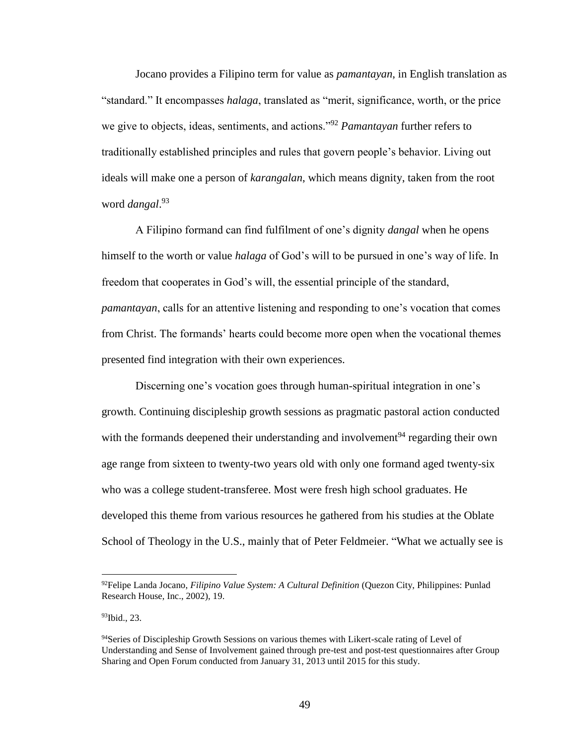Jocano provides a Filipino term for value as *pamantayan*, in English translation as "standard." It encompasses *halaga*, translated as "merit, significance, worth, or the price we give to objects, ideas, sentiments, and actions."<sup>92</sup> *Pamantayan* further refers to traditionally established principles and rules that govern people's behavior. Living out ideals will make one a person of *karangalan*, which means dignity, taken from the root word *dangal*. 93

A Filipino formand can find fulfilment of one's dignity *dangal* when he opens himself to the worth or value *halaga* of God's will to be pursued in one's way of life. In freedom that cooperates in God's will, the essential principle of the standard, *pamantayan*, calls for an attentive listening and responding to one's vocation that comes from Christ. The formands' hearts could become more open when the vocational themes presented find integration with their own experiences.

Discerning one's vocation goes through human-spiritual integration in one's growth. Continuing discipleship growth sessions as pragmatic pastoral action conducted with the formands deepened their understanding and involvement<sup>94</sup> regarding their own age range from sixteen to twenty-two years old with only one formand aged twenty-six who was a college student-transferee. Most were fresh high school graduates. He developed this theme from various resources he gathered from his studies at the Oblate School of Theology in the U.S., mainly that of Peter Feldmeier. "What we actually see is

<sup>92</sup>Felipe Landa Jocano, *Filipino Value System: A Cultural Definition* (Quezon City, Philippines: Punlad Research House, Inc., 2002), 19.

<sup>93</sup>Ibid., 23.

<sup>&</sup>lt;sup>94</sup>Series of Discipleship Growth Sessions on various themes with Likert-scale rating of Level of Understanding and Sense of Involvement gained through pre-test and post-test questionnaires after Group Sharing and Open Forum conducted from January 31, 2013 until 2015 for this study.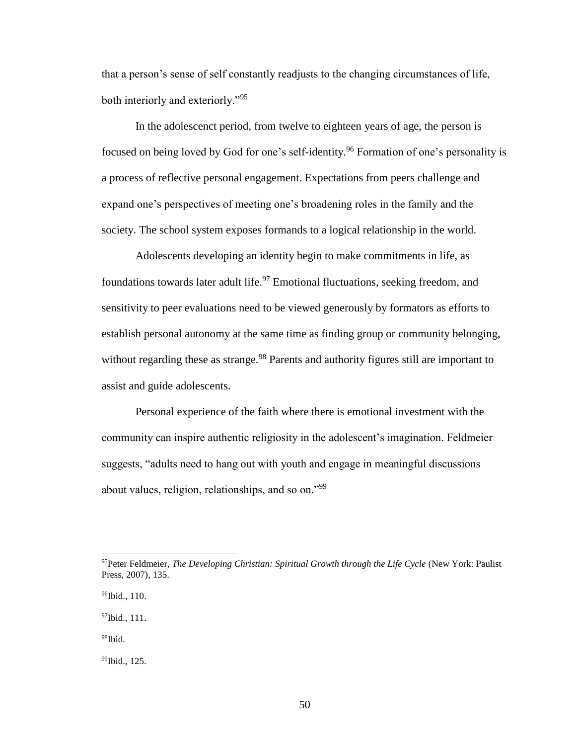that a person's sense of self constantly readjusts to the changing circumstances of life, both interiorly and exteriorly."<sup>95</sup>

In the adolescenct period, from twelve to eighteen years of age, the person is focused on being loved by God for one's self-identity.<sup>96</sup> Formation of one's personality is a process of reflective personal engagement. Expectations from peers challenge and expand one's perspectives of meeting one's broadening roles in the family and the society. The school system exposes formands to a logical relationship in the world.

Adolescents developing an identity begin to make commitments in life, as foundations towards later adult life.<sup>97</sup> Emotional fluctuations, seeking freedom, and sensitivity to peer evaluations need to be viewed generously by formators as efforts to establish personal autonomy at the same time as finding group or community belonging, without regarding these as strange.<sup>98</sup> Parents and authority figures still are important to assist and guide adolescents.

Personal experience of the faith where there is emotional investment with the community can inspire authentic religiosity in the adolescent's imagination. Feldmeier suggests, "adults need to hang out with youth and engage in meaningful discussions about values, religion, relationships, and so on."<sup>99</sup>

<sup>97</sup>Ibid., 111.

 $98$ Ibid.

 $\overline{a}$ 

99Ibid., 125.

<sup>&</sup>lt;sup>95</sup>Peter Feldmeier, *The Developing Christian: Spiritual Growth through the Life Cycle* (New York: Paulist Press, 2007), 135.

<sup>96</sup>Ibid., 110.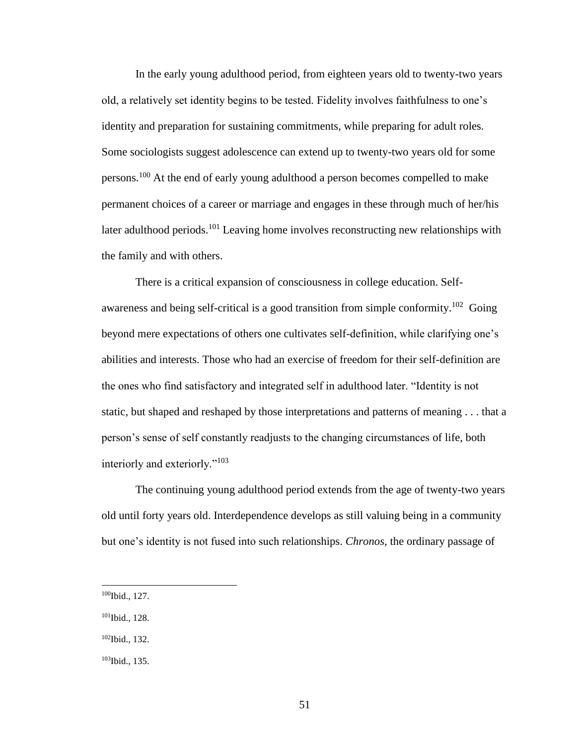In the early young adulthood period, from eighteen years old to twenty-two years old, a relatively set identity begins to be tested. Fidelity involves faithfulness to one's identity and preparation for sustaining commitments, while preparing for adult roles. Some sociologists suggest adolescence can extend up to twenty-two years old for some persons.<sup>100</sup> At the end of early young adulthood a person becomes compelled to make permanent choices of a career or marriage and engages in these through much of her/his later adulthood periods.<sup>101</sup> Leaving home involves reconstructing new relationships with the family and with others.

There is a critical expansion of consciousness in college education. Selfawareness and being self-critical is a good transition from simple conformity.<sup>102</sup> Going beyond mere expectations of others one cultivates self-definition, while clarifying one's abilities and interests. Those who had an exercise of freedom for their self-definition are the ones who find satisfactory and integrated self in adulthood later. "Identity is not static, but shaped and reshaped by those interpretations and patterns of meaning . . . that a person's sense of self constantly readjusts to the changing circumstances of life, both interiorly and exteriorly."<sup>103</sup>

The continuing young adulthood period extends from the age of twenty-two years old until forty years old. Interdependence develops as still valuing being in a community but one's identity is not fused into such relationships. *Chronos*, the ordinary passage of

 $\overline{a}$ 

<sup>101</sup>Ibid., 128.

<sup>100</sup>Ibid., 127.

<sup>102</sup>Ibid., 132.

<sup>103</sup>Ibid., 135.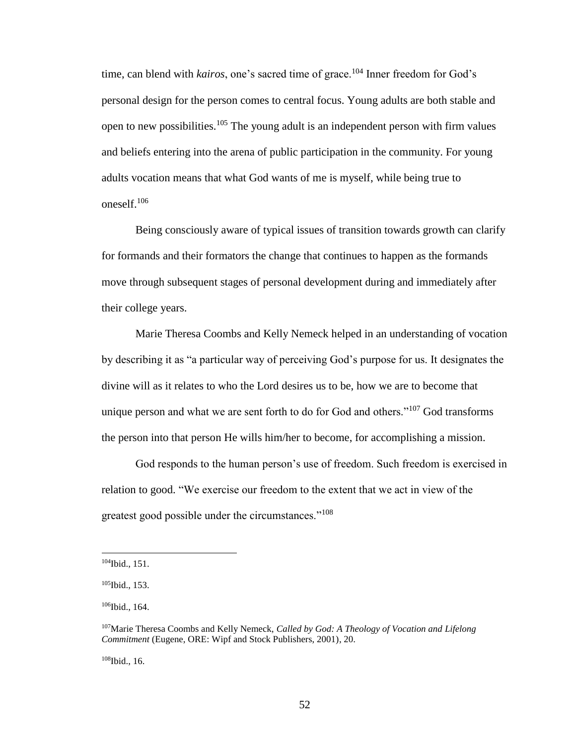time, can blend with *kairos*, one's sacred time of grace.<sup>104</sup> Inner freedom for God's personal design for the person comes to central focus. Young adults are both stable and open to new possibilities.<sup>105</sup> The young adult is an independent person with firm values and beliefs entering into the arena of public participation in the community. For young adults vocation means that what God wants of me is myself, while being true to oneself.<sup>106</sup>

Being consciously aware of typical issues of transition towards growth can clarify for formands and their formators the change that continues to happen as the formands move through subsequent stages of personal development during and immediately after their college years.

Marie Theresa Coombs and Kelly Nemeck helped in an understanding of vocation by describing it as "a particular way of perceiving God's purpose for us. It designates the divine will as it relates to who the Lord desires us to be, how we are to become that unique person and what we are sent forth to do for God and others." $107$  God transforms the person into that person He wills him/her to become, for accomplishing a mission.

God responds to the human person's use of freedom. Such freedom is exercised in relation to good. "We exercise our freedom to the extent that we act in view of the greatest good possible under the circumstances."<sup>108</sup>

 $\overline{a}$ 

108Ibid., 16.

<sup>104</sup>Ibid., 151.

<sup>105</sup>Ibid., 153.

<sup>&</sup>lt;sup>106</sup>Ibid., 164.

<sup>107</sup>Marie Theresa Coombs and Kelly Nemeck, *Called by God: A Theology of Vocation and Lifelong Commitment* (Eugene, ORE: Wipf and Stock Publishers, 2001), 20.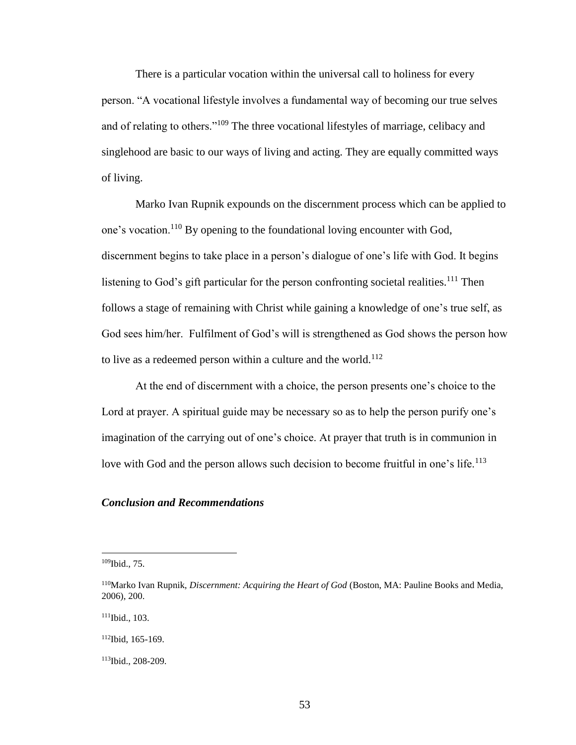There is a particular vocation within the universal call to holiness for every person. "A vocational lifestyle involves a fundamental way of becoming our true selves and of relating to others."<sup>109</sup> The three vocational lifestyles of marriage, celibacy and singlehood are basic to our ways of living and acting. They are equally committed ways of living.

Marko Ivan Rupnik expounds on the discernment process which can be applied to one's vocation.<sup>110</sup> By opening to the foundational loving encounter with God, discernment begins to take place in a person's dialogue of one's life with God. It begins listening to God's gift particular for the person confronting societal realities.<sup>111</sup> Then follows a stage of remaining with Christ while gaining a knowledge of one's true self, as God sees him/her. Fulfilment of God's will is strengthened as God shows the person how to live as a redeemed person within a culture and the world.<sup>112</sup>

At the end of discernment with a choice, the person presents one's choice to the Lord at prayer. A spiritual guide may be necessary so as to help the person purify one's imagination of the carrying out of one's choice. At prayer that truth is in communion in love with God and the person allows such decision to become fruitful in one's life.<sup>113</sup>

## *Conclusion and Recommendations*

<sup>109</sup>Ibid., 75.

<sup>110</sup>Marko Ivan Rupnik, *Discernment: Acquiring the Heart of God* (Boston, MA: Pauline Books and Media, 2006), 200.

<sup>111</sup>Ibid., 103.

<sup>112</sup>Ibid, 165-169.

<sup>113</sup>Ibid., 208-209.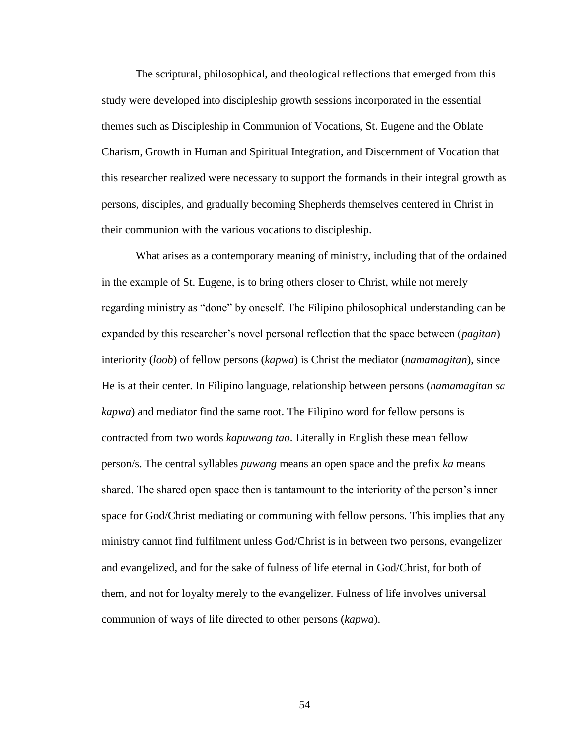The scriptural, philosophical, and theological reflections that emerged from this study were developed into discipleship growth sessions incorporated in the essential themes such as Discipleship in Communion of Vocations, St. Eugene and the Oblate Charism, Growth in Human and Spiritual Integration, and Discernment of Vocation that this researcher realized were necessary to support the formands in their integral growth as persons, disciples, and gradually becoming Shepherds themselves centered in Christ in their communion with the various vocations to discipleship.

What arises as a contemporary meaning of ministry, including that of the ordained in the example of St. Eugene, is to bring others closer to Christ, while not merely regarding ministry as "done" by oneself. The Filipino philosophical understanding can be expanded by this researcher's novel personal reflection that the space between (*pagitan*) interiority (*loob*) of fellow persons (*kapwa*) is Christ the mediator (*namamagitan*), since He is at their center. In Filipino language, relationship between persons (*namamagitan sa kapwa*) and mediator find the same root. The Filipino word for fellow persons is contracted from two words *kapuwang tao*. Literally in English these mean fellow person/s. The central syllables *puwang* means an open space and the prefix *ka* means shared. The shared open space then is tantamount to the interiority of the person's inner space for God/Christ mediating or communing with fellow persons. This implies that any ministry cannot find fulfilment unless God/Christ is in between two persons, evangelizer and evangelized, and for the sake of fulness of life eternal in God/Christ, for both of them, and not for loyalty merely to the evangelizer. Fulness of life involves universal communion of ways of life directed to other persons (*kapwa*).

54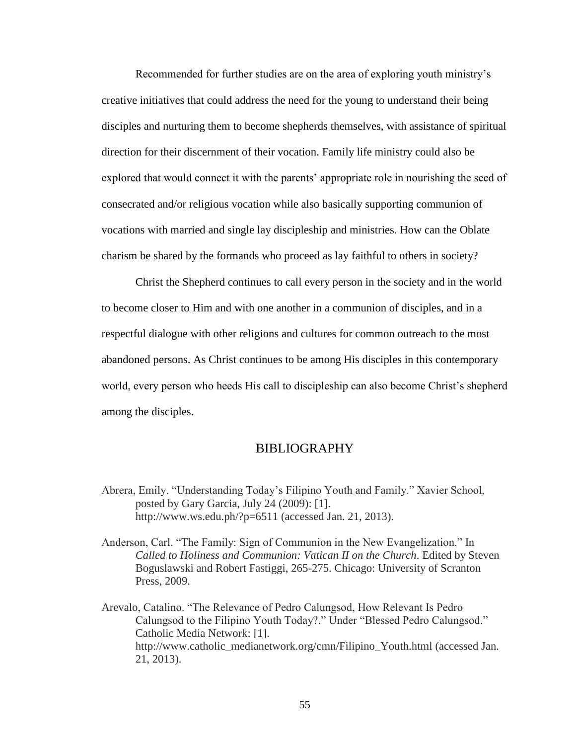Recommended for further studies are on the area of exploring youth ministry's creative initiatives that could address the need for the young to understand their being disciples and nurturing them to become shepherds themselves, with assistance of spiritual direction for their discernment of their vocation. Family life ministry could also be explored that would connect it with the parents' appropriate role in nourishing the seed of consecrated and/or religious vocation while also basically supporting communion of vocations with married and single lay discipleship and ministries. How can the Oblate charism be shared by the formands who proceed as lay faithful to others in society?

Christ the Shepherd continues to call every person in the society and in the world to become closer to Him and with one another in a communion of disciples, and in a respectful dialogue with other religions and cultures for common outreach to the most abandoned persons. As Christ continues to be among His disciples in this contemporary world, every person who heeds His call to discipleship can also become Christ's shepherd among the disciples.

# BIBLIOGRAPHY

Abrera, Emily. "Understanding Today's Filipino Youth and Family." Xavier School, posted by Gary Garcia, July 24 (2009): [1]. http://www.ws.edu.ph/?p=6511 (accessed Jan. 21, 2013).

Anderson, Carl. "The Family: Sign of Communion in the New Evangelization." In *Called to Holiness and Communion: Vatican II on the Church*. Edited by Steven Boguslawski and Robert Fastiggi, 265-275. Chicago: University of Scranton Press, 2009.

Arevalo, Catalino. "The Relevance of Pedro Calungsod, How Relevant Is Pedro Calungsod to the Filipino Youth Today?." Under "Blessed Pedro Calungsod." Catholic Media Network: [1]. http://www.catholic\_medianetwork.org/cmn/Filipino\_Youth.html (accessed Jan. 21, 2013).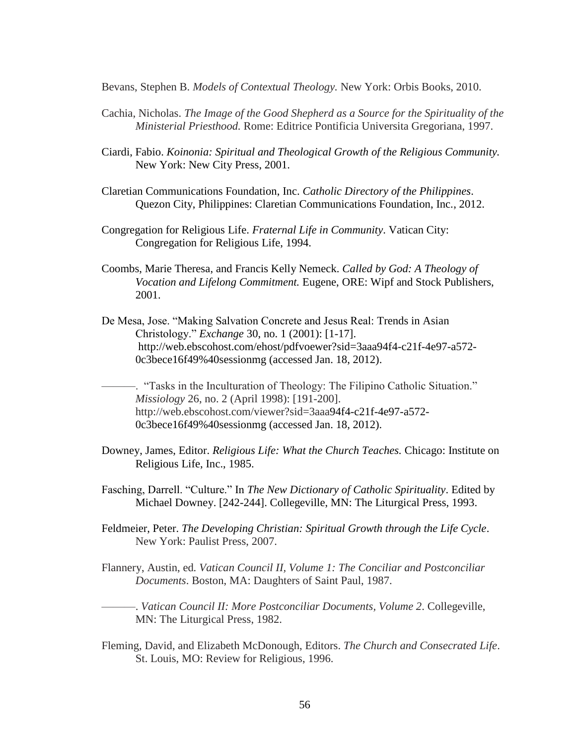Bevans, Stephen B. *Models of Contextual Theology.* New York: Orbis Books, 2010.

- Cachia, Nicholas. *The Image of the Good Shepherd as a Source for the Spirituality of the Ministerial Priesthood.* Rome: Editrice Pontificia Universita Gregoriana, 1997.
- Ciardi, Fabio. *Koinonia: Spiritual and Theological Growth of the Religious Community.*  New York: New City Press, 2001.
- Claretian Communications Foundation, Inc. *Catholic Directory of the Philippines*. Quezon City, Philippines: Claretian Communications Foundation, Inc., 2012.
- Congregation for Religious Life. *Fraternal Life in Community*. Vatican City: Congregation for Religious Life, 1994.
- Coombs, Marie Theresa, and Francis Kelly Nemeck. *Called by God: A Theology of Vocation and Lifelong Commitment.* Eugene, ORE: Wipf and Stock Publishers, 2001.
- De Mesa, Jose. "Making Salvation Concrete and Jesus Real: Trends in Asian Christology." *Exchange* 30, no. 1 (2001): [1-17]. http://web.ebscohost.com/ehost/pdfvoewer?sid=3aaa94f4-c21f-4e97-a572- 0c3bece16f49%40sessionmg (accessed Jan. 18, 2012).
	- ———. "Tasks in the Inculturation of Theology: The Filipino Catholic Situation." *Missiology* 26, no. 2 (April 1998): [191-200]. http://web.ebscohost.com/viewer?sid=3aaa94f4-c21f-4e97-a572- 0c3bece16f49%40sessionmg (accessed Jan. 18, 2012).
- Downey, James, Editor. *Religious Life: What the Church Teaches.* Chicago: Institute on Religious Life, Inc., 1985.
- Fasching, Darrell. "Culture." In *The New Dictionary of Catholic Spirituality*. Edited by Michael Downey. [242-244]. Collegeville, MN: The Liturgical Press, 1993.
- Feldmeier, Peter. *The Developing Christian: Spiritual Growth through the Life Cycle*. New York: Paulist Press, 2007.
- Flannery, Austin, ed*. Vatican Council II, Volume 1: The Conciliar and Postconciliar Documents*. Boston, MA: Daughters of Saint Paul, 1987.

———. *Vatican Council II: More Postconciliar Documents, Volume 2*. Collegeville, MN: The Liturgical Press, 1982.

Fleming, David, and Elizabeth McDonough, Editors. *The Church and Consecrated Life*. St. Louis, MO: Review for Religious, 1996.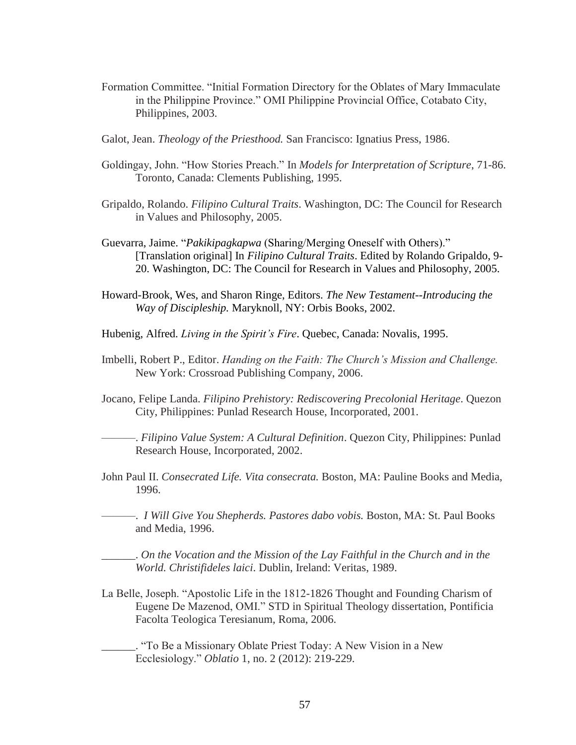- Formation Committee. "Initial Formation Directory for the Oblates of Mary Immaculate in the Philippine Province." OMI Philippine Provincial Office, Cotabato City, Philippines, 2003.
- Galot, Jean. *Theology of the Priesthood.* San Francisco: Ignatius Press, 1986.
- Goldingay, John. "How Stories Preach." In *Models for Interpretation of Scripture*, 71-86. Toronto, Canada: Clements Publishing, 1995.
- Gripaldo, Rolando. *Filipino Cultural Traits*. Washington, DC: The Council for Research in Values and Philosophy, 2005.
- Guevarra, Jaime. "*Pakikipagkapwa* (Sharing/Merging Oneself with Others)." [Translation original] In *Filipino Cultural Traits*. Edited by Rolando Gripaldo, 9- 20. Washington, DC: The Council for Research in Values and Philosophy, 2005.
- Howard-Brook, Wes, and Sharon Ringe, Editors. *The New Testament--Introducing the Way of Discipleship.* Maryknoll, NY: Orbis Books, 2002.
- Hubenig, Alfred. *Living in the Spirit's Fire*. Quebec, Canada: Novalis, 1995.
- Imbelli, Robert P., Editor. *Handing on the Faith: The Church's Mission and Challenge.*  New York: Crossroad Publishing Company, 2006.
- Jocano, Felipe Landa. *Filipino Prehistory: Rediscovering Precolonial Heritage*. Quezon City, Philippines: Punlad Research House, Incorporated, 2001.

———. *Filipino Value System: A Cultural Definition*. Quezon City, Philippines: Punlad Research House, Incorporated, 2002.

- John Paul II. *Consecrated Life. Vita consecrata.* Boston, MA: Pauline Books and Media, 1996.
- ———. *I Will Give You Shepherds. Pastores dabo vobis.* Boston, MA: St. Paul Books and Media, 1996.

\_\_\_\_\_\_. *On the Vocation and the Mission of the Lay Faithful in the Church and in the World. Christifideles laici*. Dublin, Ireland: Veritas, 1989.

La Belle, Joseph. "Apostolic Life in the 1812-1826 Thought and Founding Charism of Eugene De Mazenod, OMI." STD in Spiritual Theology dissertation, Pontificia Facolta Teologica Teresianum, Roma, 2006.

\_\_\_\_\_\_. "To Be a Missionary Oblate Priest Today: A New Vision in a New Ecclesiology." *Oblatio* 1, no. 2 (2012): 219-229.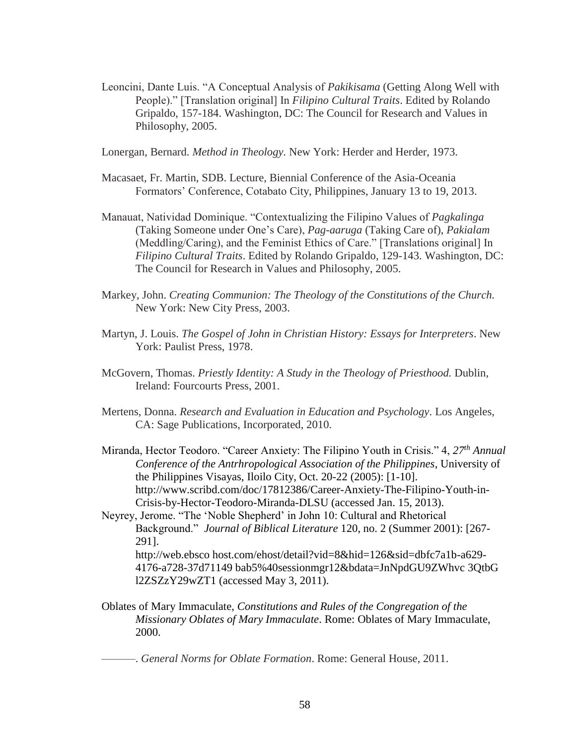Leoncini, Dante Luis. "A Conceptual Analysis of *Pakikisama* (Getting Along Well with People)." [Translation original] In *Filipino Cultural Traits*. Edited by Rolando Gripaldo, 157-184. Washington, DC: The Council for Research and Values in Philosophy, 2005.

Lonergan, Bernard. *Method in Theology.* New York: Herder and Herder, 1973.

- Macasaet, Fr. Martin, SDB. Lecture, Biennial Conference of the Asia-Oceania Formators' Conference, Cotabato City, Philippines, January 13 to 19, 2013.
- Manauat, Natividad Dominique. "Contextualizing the Filipino Values of *Pagkalinga*  (Taking Someone under One's Care), *Pag-aaruga* (Taking Care of), *Pakialam*  (Meddling/Caring), and the Feminist Ethics of Care." [Translations original] In *Filipino Cultural Traits*. Edited by Rolando Gripaldo, 129-143. Washington, DC: The Council for Research in Values and Philosophy, 2005.
- Markey, John. *Creating Communion: The Theology of the Constitutions of the Church.* New York: New City Press, 2003.
- Martyn, J. Louis. *The Gospel of John in Christian History: Essays for Interpreters*. New York: Paulist Press, 1978.
- McGovern, Thomas. *Priestly Identity: A Study in the Theology of Priesthood.* Dublin, Ireland: Fourcourts Press, 2001.
- Mertens, Donna. *Research and Evaluation in Education and Psychology*. Los Angeles, CA: Sage Publications, Incorporated, 2010.
- Miranda, Hector Teodoro. "Career Anxiety: The Filipino Youth in Crisis." 4, *27th Annual Conference of the Antrhropological Association of the Philippines*, University of the Philippines Visayas, Iloilo City, Oct. 20-22 (2005): [1-10]. http://www.scribd.com/doc/17812386/Career-Anxiety-The-Filipino-Youth-in-Crisis-by-Hector-Teodoro-Miranda-DLSU (accessed Jan. 15, 2013).
- Neyrey, Jerome. "The 'Noble Shepherd' in John 10: Cultural and Rhetorical Background." *Journal of Biblical Literature* 120, no. 2 (Summer 2001): [267- 291]. http://web.ebsco host.com/ehost/detail?vid=8&hid=126&sid=dbfc7a1b-a629-

4176-a728-37d71149 bab5%40sessionmgr12&bdata=JnNpdGU9ZWhvc 3QtbG l2ZSZzY29wZT1 (accessed May 3, 2011).

Oblates of Mary Immaculate, *Constitutions and Rules of the Congregation of the Missionary Oblates of Mary Immaculate*. Rome: Oblates of Mary Immaculate, 2000.

———. *General Norms for Oblate Formation*. Rome: General House, 2011.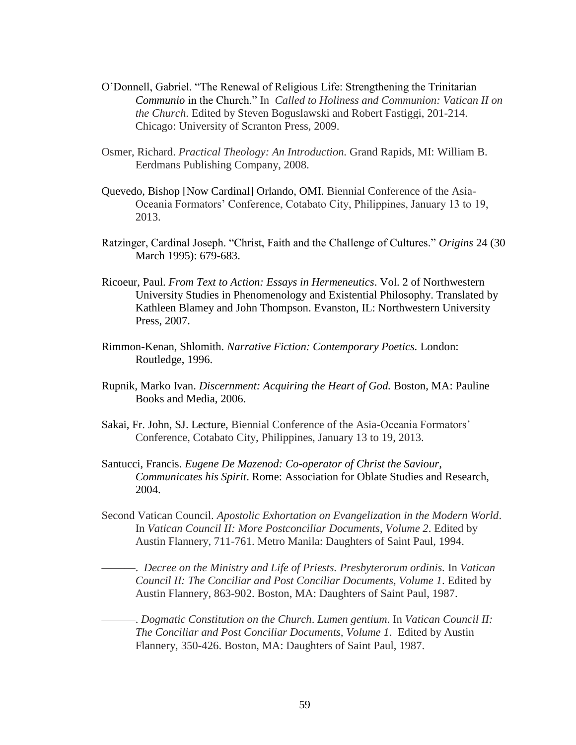- O'Donnell, Gabriel. "The Renewal of Religious Life: Strengthening the Trinitarian *Communio* in the Church." In *Called to Holiness and Communion: Vatican II on the Church*. Edited by Steven Boguslawski and Robert Fastiggi, 201-214. Chicago: University of Scranton Press, 2009.
- Osmer, Richard. *Practical Theology: An Introduction.* Grand Rapids, MI: William B. Eerdmans Publishing Company, 2008.
- Quevedo, Bishop [Now Cardinal] Orlando, OMI. Biennial Conference of the Asia-Oceania Formators' Conference, Cotabato City, Philippines, January 13 to 19, 2013.
- Ratzinger, Cardinal Joseph. "Christ, Faith and the Challenge of Cultures." *Origins* 24 (30 March 1995): 679-683.
- Ricoeur, Paul. *From Text to Action: Essays in Hermeneutics*. Vol. 2 of Northwestern University Studies in Phenomenology and Existential Philosophy. Translated by Kathleen Blamey and John Thompson. Evanston, IL: Northwestern University Press, 2007.
- Rimmon-Kenan, Shlomith. *Narrative Fiction: Contemporary Poetics.* London: Routledge, 1996.
- Rupnik, Marko Ivan. *Discernment: Acquiring the Heart of God.* Boston, MA: Pauline Books and Media, 2006.
- Sakai, Fr. John, SJ. Lecture, Biennial Conference of the Asia-Oceania Formators' Conference, Cotabato City, Philippines, January 13 to 19, 2013.
- Santucci, Francis. *Eugene De Mazenod: Co-operator of Christ the Saviour, Communicates his Spirit*. Rome: Association for Oblate Studies and Research, 2004.
- Second Vatican Council. *Apostolic Exhortation on Evangelization in the Modern World*. In *Vatican Council II: More Postconciliar Documents*, *Volume 2*. Edited by Austin Flannery, 711-761. Metro Manila: Daughters of Saint Paul, 1994.

———. *Decree on the Ministry and Life of Priests. Presbyterorum ordinis.* In *Vatican Council II: The Conciliar and Post Conciliar Documents, Volume 1*. Edited by Austin Flannery, 863-902. Boston, MA: Daughters of Saint Paul, 1987.

———. *Dogmatic Constitution on the Church*. *Lumen gentium*. In *Vatican Council II: The Conciliar and Post Conciliar Documents, Volume 1*. Edited by Austin Flannery, 350-426. Boston, MA: Daughters of Saint Paul, 1987.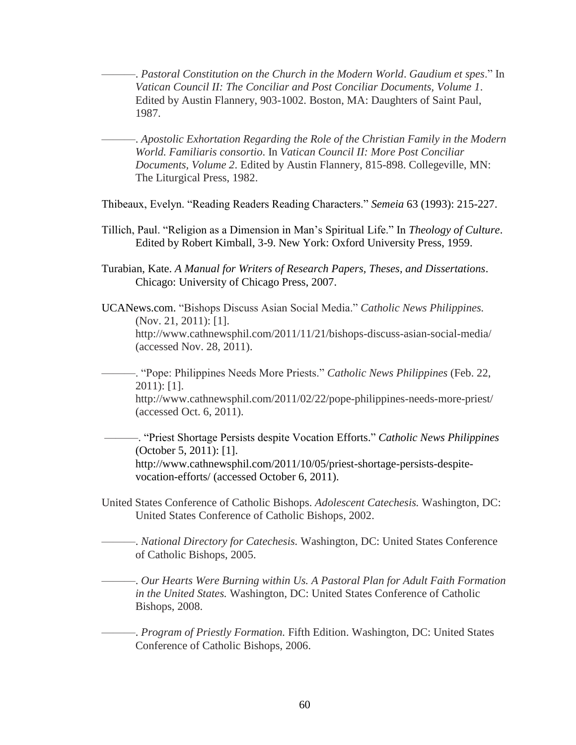———. *Pastoral Constitution on the Church in the Modern World*. *Gaudium et spes*." In *Vatican Council II: The Conciliar and Post Conciliar Documents, Volume 1*. Edited by Austin Flannery, 903-1002. Boston, MA: Daughters of Saint Paul, 1987.

———. *Apostolic Exhortation Regarding the Role of the Christian Family in the Modern World. Familiaris consortio*. In *Vatican Council II: More Post Conciliar Documents, Volume 2*. Edited by Austin Flannery, 815-898. Collegeville, MN: The Liturgical Press, 1982.

Thibeaux, Evelyn. "Reading Readers Reading Characters." *Semeia* 63 (1993): 215-227.

- Tillich, Paul. "Religion as a Dimension in Man's Spiritual Life." In *Theology of Culture*. Edited by Robert Kimball, 3-9. New York: Oxford University Press, 1959.
- Turabian, Kate. *A Manual for Writers of Research Papers, Theses, and Dissertations*. Chicago: University of Chicago Press, 2007.

UCANews.com. "Bishops Discuss Asian Social Media." *Catholic News Philippines.*  (Nov. 21, 2011): [1]. http://www.cathnewsphil.com/2011/11/21/bishops-discuss-asian-social-media/ (accessed Nov. 28, 2011).

———. "Pope: Philippines Needs More Priests." *Catholic News Philippines* (Feb. 22, 2011): [1].

 http://www.cathnewsphil.com/2011/02/22/pope-philippines-needs-more-priest/ (accessed Oct. 6, 2011).

———. "Priest Shortage Persists despite Vocation Efforts." *Catholic News Philippines*  (October 5, 2011): [1]. http://www.cathnewsphil.com/2011/10/05/priest-shortage-persists-despitevocation-efforts/ (accessed October 6, 2011).

United States Conference of Catholic Bishops. *Adolescent Catechesis.* Washington, DC: United States Conference of Catholic Bishops, 2002.

———. *National Directory for Catechesis.* Washington, DC: United States Conference of Catholic Bishops, 2005.

———. *Our Hearts Were Burning within Us. A Pastoral Plan for Adult Faith Formation in the United States.* Washington, DC: United States Conference of Catholic Bishops, 2008.

———. *Program of Priestly Formation.* Fifth Edition. Washington, DC: United States Conference of Catholic Bishops, 2006.